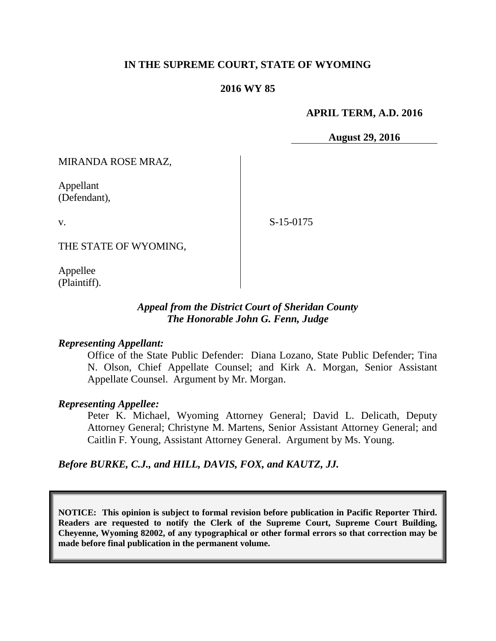#### **IN THE SUPREME COURT, STATE OF WYOMING**

#### **2016 WY 85**

#### **APRIL TERM, A.D. 2016**

**August 29, 2016**

MIRANDA ROSE MRAZ,

Appellant (Defendant),

v.

S-15-0175

THE STATE OF WYOMING,

Appellee (Plaintiff).

#### *Appeal from the District Court of Sheridan County The Honorable John G. Fenn, Judge*

#### *Representing Appellant:*

Office of the State Public Defender: Diana Lozano, State Public Defender; Tina N. Olson, Chief Appellate Counsel; and Kirk A. Morgan, Senior Assistant Appellate Counsel. Argument by Mr. Morgan.

#### *Representing Appellee:*

Peter K. Michael, Wyoming Attorney General; David L. Delicath, Deputy Attorney General; Christyne M. Martens, Senior Assistant Attorney General; and Caitlin F. Young, Assistant Attorney General. Argument by Ms. Young.

#### *Before BURKE, C.J., and HILL, DAVIS, FOX, and KAUTZ, JJ.*

**NOTICE: This opinion is subject to formal revision before publication in Pacific Reporter Third. Readers are requested to notify the Clerk of the Supreme Court, Supreme Court Building, Cheyenne, Wyoming 82002, of any typographical or other formal errors so that correction may be made before final publication in the permanent volume.**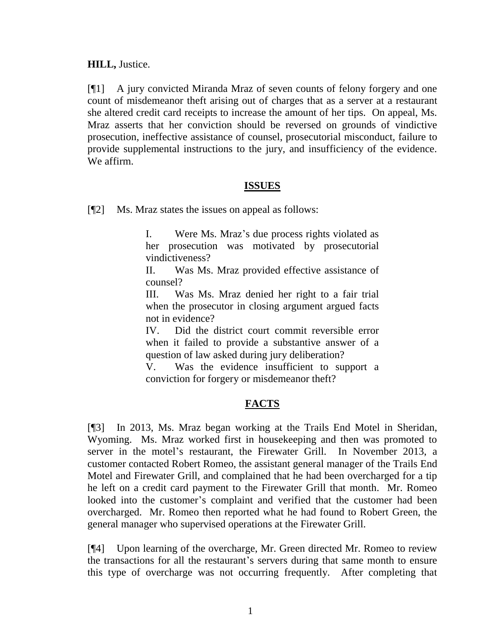**HILL,** Justice.

[¶1] A jury convicted Miranda Mraz of seven counts of felony forgery and one count of misdemeanor theft arising out of charges that as a server at a restaurant she altered credit card receipts to increase the amount of her tips. On appeal, Ms. Mraz asserts that her conviction should be reversed on grounds of vindictive prosecution, ineffective assistance of counsel, prosecutorial misconduct, failure to provide supplemental instructions to the jury, and insufficiency of the evidence. We affirm.

### **ISSUES**

[¶2] Ms. Mraz states the issues on appeal as follows:

I. Were Ms. Mraz's due process rights violated as her prosecution was motivated by prosecutorial vindictiveness?

II. Was Ms. Mraz provided effective assistance of counsel?

III. Was Ms. Mraz denied her right to a fair trial when the prosecutor in closing argument argued facts not in evidence?

IV. Did the district court commit reversible error when it failed to provide a substantive answer of a question of law asked during jury deliberation?

V. Was the evidence insufficient to support a conviction for forgery or misdemeanor theft?

# **FACTS**

[¶3] In 2013, Ms. Mraz began working at the Trails End Motel in Sheridan, Wyoming. Ms. Mraz worked first in housekeeping and then was promoted to server in the motel's restaurant, the Firewater Grill. In November 2013, a customer contacted Robert Romeo, the assistant general manager of the Trails End Motel and Firewater Grill, and complained that he had been overcharged for a tip he left on a credit card payment to the Firewater Grill that month. Mr. Romeo looked into the customer's complaint and verified that the customer had been overcharged. Mr. Romeo then reported what he had found to Robert Green, the general manager who supervised operations at the Firewater Grill.

[¶4] Upon learning of the overcharge, Mr. Green directed Mr. Romeo to review the transactions for all the restaurant's servers during that same month to ensure this type of overcharge was not occurring frequently. After completing that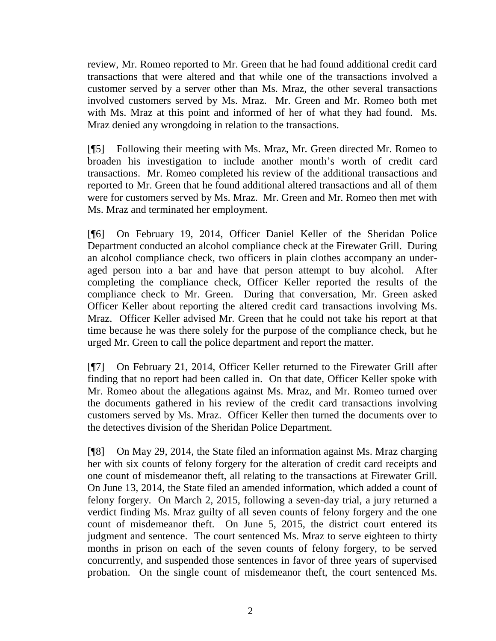review, Mr. Romeo reported to Mr. Green that he had found additional credit card transactions that were altered and that while one of the transactions involved a customer served by a server other than Ms. Mraz, the other several transactions involved customers served by Ms. Mraz. Mr. Green and Mr. Romeo both met with Ms. Mraz at this point and informed of her of what they had found. Ms. Mraz denied any wrongdoing in relation to the transactions.

[¶5] Following their meeting with Ms. Mraz, Mr. Green directed Mr. Romeo to broaden his investigation to include another month's worth of credit card transactions. Mr. Romeo completed his review of the additional transactions and reported to Mr. Green that he found additional altered transactions and all of them were for customers served by Ms. Mraz. Mr. Green and Mr. Romeo then met with Ms. Mraz and terminated her employment.

[¶6] On February 19, 2014, Officer Daniel Keller of the Sheridan Police Department conducted an alcohol compliance check at the Firewater Grill. During an alcohol compliance check, two officers in plain clothes accompany an underaged person into a bar and have that person attempt to buy alcohol. After completing the compliance check, Officer Keller reported the results of the compliance check to Mr. Green. During that conversation, Mr. Green asked Officer Keller about reporting the altered credit card transactions involving Ms. Mraz. Officer Keller advised Mr. Green that he could not take his report at that time because he was there solely for the purpose of the compliance check, but he urged Mr. Green to call the police department and report the matter.

[¶7] On February 21, 2014, Officer Keller returned to the Firewater Grill after finding that no report had been called in. On that date, Officer Keller spoke with Mr. Romeo about the allegations against Ms. Mraz, and Mr. Romeo turned over the documents gathered in his review of the credit card transactions involving customers served by Ms. Mraz. Officer Keller then turned the documents over to the detectives division of the Sheridan Police Department.

[¶8] On May 29, 2014, the State filed an information against Ms. Mraz charging her with six counts of felony forgery for the alteration of credit card receipts and one count of misdemeanor theft, all relating to the transactions at Firewater Grill. On June 13, 2014, the State filed an amended information, which added a count of felony forgery. On March 2, 2015, following a seven-day trial, a jury returned a verdict finding Ms. Mraz guilty of all seven counts of felony forgery and the one count of misdemeanor theft. On June 5, 2015, the district court entered its judgment and sentence. The court sentenced Ms. Mraz to serve eighteen to thirty months in prison on each of the seven counts of felony forgery, to be served concurrently, and suspended those sentences in favor of three years of supervised probation. On the single count of misdemeanor theft, the court sentenced Ms.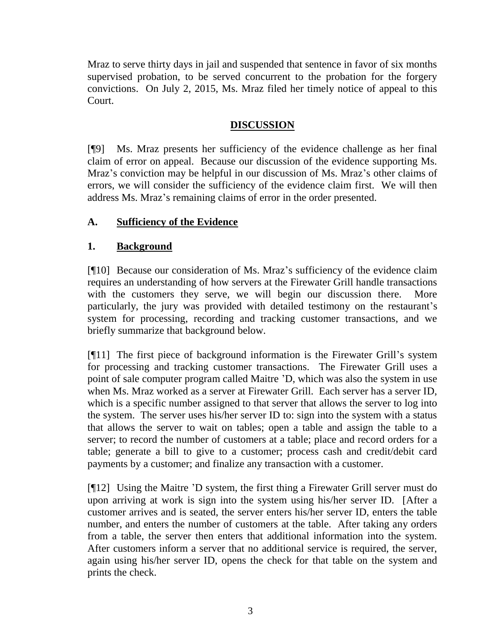Mraz to serve thirty days in jail and suspended that sentence in favor of six months supervised probation, to be served concurrent to the probation for the forgery convictions. On July 2, 2015, Ms. Mraz filed her timely notice of appeal to this Court.

# **DISCUSSION**

[¶9] Ms. Mraz presents her sufficiency of the evidence challenge as her final claim of error on appeal. Because our discussion of the evidence supporting Ms. Mraz's conviction may be helpful in our discussion of Ms. Mraz's other claims of errors, we will consider the sufficiency of the evidence claim first. We will then address Ms. Mraz's remaining claims of error in the order presented.

### **A. Sufficiency of the Evidence**

# **1. Background**

[¶10] Because our consideration of Ms. Mraz's sufficiency of the evidence claim requires an understanding of how servers at the Firewater Grill handle transactions with the customers they serve, we will begin our discussion there. More particularly, the jury was provided with detailed testimony on the restaurant's system for processing, recording and tracking customer transactions, and we briefly summarize that background below.

[¶11] The first piece of background information is the Firewater Grill's system for processing and tracking customer transactions. The Firewater Grill uses a point of sale computer program called Maitre 'D, which was also the system in use when Ms. Mraz worked as a server at Firewater Grill. Each server has a server ID, which is a specific number assigned to that server that allows the server to log into the system. The server uses his/her server ID to: sign into the system with a status that allows the server to wait on tables; open a table and assign the table to a server; to record the number of customers at a table; place and record orders for a table; generate a bill to give to a customer; process cash and credit/debit card payments by a customer; and finalize any transaction with a customer.

[¶12] Using the Maitre 'D system, the first thing a Firewater Grill server must do upon arriving at work is sign into the system using his/her server ID. [After a customer arrives and is seated, the server enters his/her server ID, enters the table number, and enters the number of customers at the table. After taking any orders from a table, the server then enters that additional information into the system. After customers inform a server that no additional service is required, the server, again using his/her server ID, opens the check for that table on the system and prints the check.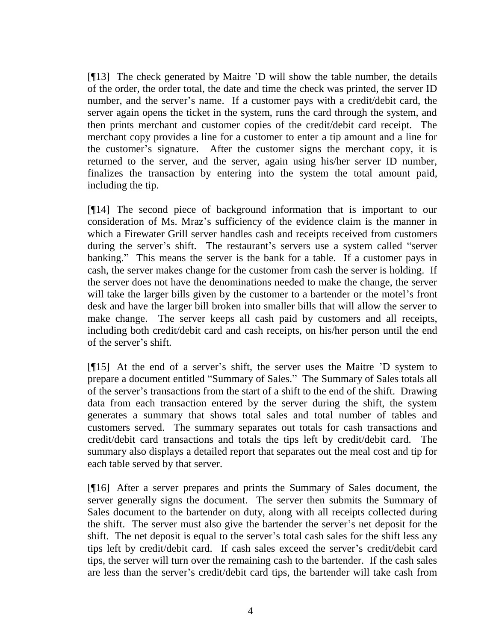[¶13] The check generated by Maitre 'D will show the table number, the details of the order, the order total, the date and time the check was printed, the server ID number, and the server's name. If a customer pays with a credit/debit card, the server again opens the ticket in the system, runs the card through the system, and then prints merchant and customer copies of the credit/debit card receipt. The merchant copy provides a line for a customer to enter a tip amount and a line for the customer's signature. After the customer signs the merchant copy, it is returned to the server, and the server, again using his/her server ID number, finalizes the transaction by entering into the system the total amount paid, including the tip.

[¶14] The second piece of background information that is important to our consideration of Ms. Mraz's sufficiency of the evidence claim is the manner in which a Firewater Grill server handles cash and receipts received from customers during the server's shift. The restaurant's servers use a system called "server banking." This means the server is the bank for a table. If a customer pays in cash, the server makes change for the customer from cash the server is holding. If the server does not have the denominations needed to make the change, the server will take the larger bills given by the customer to a bartender or the motel's front desk and have the larger bill broken into smaller bills that will allow the server to make change. The server keeps all cash paid by customers and all receipts, including both credit/debit card and cash receipts, on his/her person until the end of the server's shift.

[¶15] At the end of a server's shift, the server uses the Maitre 'D system to prepare a document entitled "Summary of Sales." The Summary of Sales totals all of the server's transactions from the start of a shift to the end of the shift. Drawing data from each transaction entered by the server during the shift, the system generates a summary that shows total sales and total number of tables and customers served. The summary separates out totals for cash transactions and credit/debit card transactions and totals the tips left by credit/debit card. The summary also displays a detailed report that separates out the meal cost and tip for each table served by that server.

[¶16] After a server prepares and prints the Summary of Sales document, the server generally signs the document. The server then submits the Summary of Sales document to the bartender on duty, along with all receipts collected during the shift. The server must also give the bartender the server's net deposit for the shift. The net deposit is equal to the server's total cash sales for the shift less any tips left by credit/debit card. If cash sales exceed the server's credit/debit card tips, the server will turn over the remaining cash to the bartender. If the cash sales are less than the server's credit/debit card tips, the bartender will take cash from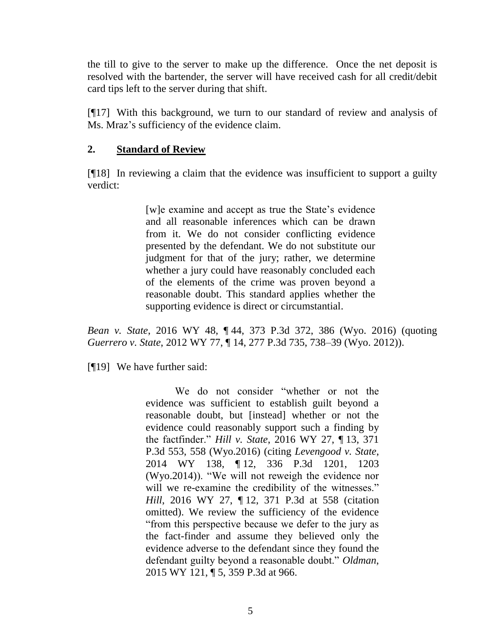the till to give to the server to make up the difference. Once the net deposit is resolved with the bartender, the server will have received cash for all credit/debit card tips left to the server during that shift.

[¶17] With this background, we turn to our standard of review and analysis of Ms. Mraz's sufficiency of the evidence claim.

### **2. Standard of Review**

[¶18] In reviewing a claim that the evidence was insufficient to support a guilty verdict:

> [w]e examine and accept as true the State's evidence and all reasonable inferences which can be drawn from it. We do not consider conflicting evidence presented by the defendant. We do not substitute our judgment for that of the jury; rather, we determine whether a jury could have reasonably concluded each of the elements of the crime was proven beyond a reasonable doubt. This standard applies whether the supporting evidence is direct or circumstantial.

*Bean v. State*, 2016 WY 48, ¶ 44, 373 P.3d 372, 386 (Wyo. 2016) (quoting *Guerrero v. State*[, 2012 WY 77, ¶ 14, 277 P.3d 735, 738–39 \(Wyo.](http://www.westlaw.com/Link/Document/FullText?findType=Y&serNum=2027810469&pubNum=0004645&originatingDoc=Ibdc94e65181311e6b86bd602cb8781fa&refType=RP&fi=co_pp_sp_4645_738&originationContext=document&vr=3.0&rs=cblt1.0&transitionType=DocumentItem&contextData=(sc.Search)#co_pp_sp_4645_738) 2012)).

[¶19] We have further said:

We do not consider "whether or not the evidence was sufficient to establish guilt beyond a reasonable doubt, but [instead] whether or not the evidence could reasonably support such a finding by the factfinder." *Hill v. State*[, 2016 WY 27, ¶](http://www.westlaw.com/Link/Document/FullText?findType=Y&serNum=2038395054&pubNum=0004645&originatingDoc=Ibdc94e65181311e6b86bd602cb8781fa&refType=RP&fi=co_pp_sp_4645_558&originationContext=document&vr=3.0&rs=cblt1.0&transitionType=DocumentItem&contextData=(sc.Search)#co_pp_sp_4645_558) 13, 371 [P.3d 553, 558 \(Wyo.2016\)](http://www.westlaw.com/Link/Document/FullText?findType=Y&serNum=2038395054&pubNum=0004645&originatingDoc=Ibdc94e65181311e6b86bd602cb8781fa&refType=RP&fi=co_pp_sp_4645_558&originationContext=document&vr=3.0&rs=cblt1.0&transitionType=DocumentItem&contextData=(sc.Search)#co_pp_sp_4645_558) (citing *[Levengood v. State](http://www.westlaw.com/Link/Document/FullText?findType=Y&serNum=2034717042&pubNum=0004645&originatingDoc=Ibdc94e65181311e6b86bd602cb8781fa&refType=RP&fi=co_pp_sp_4645_1203&originationContext=document&vr=3.0&rs=cblt1.0&transitionType=DocumentItem&contextData=(sc.Search)#co_pp_sp_4645_1203)*, 2014 WY 138, ¶ [12, 336 P.3d 1201, 1203](http://www.westlaw.com/Link/Document/FullText?findType=Y&serNum=2034717042&pubNum=0004645&originatingDoc=Ibdc94e65181311e6b86bd602cb8781fa&refType=RP&fi=co_pp_sp_4645_1203&originationContext=document&vr=3.0&rs=cblt1.0&transitionType=DocumentItem&contextData=(sc.Search)#co_pp_sp_4645_1203)  [\(Wyo.2014\)\)](http://www.westlaw.com/Link/Document/FullText?findType=Y&serNum=2034717042&pubNum=0004645&originatingDoc=Ibdc94e65181311e6b86bd602cb8781fa&refType=RP&fi=co_pp_sp_4645_1203&originationContext=document&vr=3.0&rs=cblt1.0&transitionType=DocumentItem&contextData=(sc.Search)#co_pp_sp_4645_1203). "We will not reweigh the evidence nor will we re-examine the credibility of the witnesses." *Hill*, 2016 WY 27, ¶ [12, 371 P.3d at 558](http://www.westlaw.com/Link/Document/FullText?findType=Y&serNum=2038395054&pubNum=0004645&originatingDoc=Ibdc94e65181311e6b86bd602cb8781fa&refType=RP&fi=co_pp_sp_4645_558&originationContext=document&vr=3.0&rs=cblt1.0&transitionType=DocumentItem&contextData=(sc.Search)#co_pp_sp_4645_558) (citation omitted). We review the sufficiency of the evidence "from this perspective because we defer to the jury as the fact-finder and assume they believed only the evidence adverse to the defendant since they found the defendant guilty beyond a reasonable doubt." *[Oldman](http://www.westlaw.com/Link/Document/FullText?findType=Y&serNum=2037169382&pubNum=0004645&originatingDoc=Ibdc94e65181311e6b86bd602cb8781fa&refType=RP&fi=co_pp_sp_4645_966&originationContext=document&vr=3.0&rs=cblt1.0&transitionType=DocumentItem&contextData=(sc.Search)#co_pp_sp_4645_966)*, [2015 WY 121, ¶ 5, 359 P.3d at 966](http://www.westlaw.com/Link/Document/FullText?findType=Y&serNum=2037169382&pubNum=0004645&originatingDoc=Ibdc94e65181311e6b86bd602cb8781fa&refType=RP&fi=co_pp_sp_4645_966&originationContext=document&vr=3.0&rs=cblt1.0&transitionType=DocumentItem&contextData=(sc.Search)#co_pp_sp_4645_966).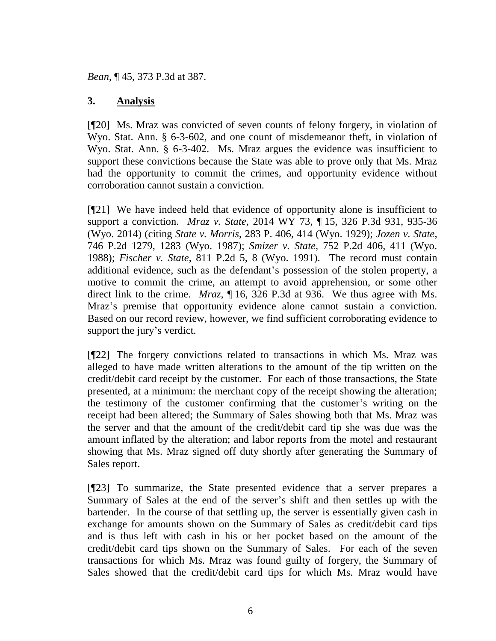*Bean*, ¶ 45, 373 P.3d at 387.

### **3. Analysis**

[¶20] Ms. Mraz was convicted of seven counts of felony forgery, in violation of Wyo. Stat. Ann. § 6-3-602, and one count of misdemeanor theft, in violation of Wyo. Stat. Ann. § 6-3-402. Ms. Mraz argues the evidence was insufficient to support these convictions because the State was able to prove only that Ms. Mraz had the opportunity to commit the crimes, and opportunity evidence without corroboration cannot sustain a conviction.

[¶21] We have indeed held that evidence of opportunity alone is insufficient to support a conviction. *Mraz v. State*, 2014 WY 73, ¶ 15, 326 P.3d 931, 935-36 (Wyo. 2014) (citing *State v. Morris*[, 283 P. 406, 414 \(Wyo. 1929\);](http://www.westlaw.com/Link/Document/FullText?findType=Y&serNum=1930102717&pubNum=0000660&originatingDoc=Ibbe5b2def11011e390d4edf60ce7d742&refType=RP&fi=co_pp_sp_660_414&originationContext=document&vr=3.0&rs=cblt1.0&transitionType=DocumentItem&contextData=(sc.UserEnteredCitation)#co_pp_sp_660_414) *[Jozen v. State](http://www.westlaw.com/Link/Document/FullText?findType=Y&serNum=1987157560&pubNum=0000661&originatingDoc=Ibbe5b2def11011e390d4edf60ce7d742&refType=RP&fi=co_pp_sp_661_1283&originationContext=document&vr=3.0&rs=cblt1.0&transitionType=DocumentItem&contextData=(sc.UserEnteredCitation)#co_pp_sp_661_1283)*, [746 P.2d 1279, 1283 \(Wyo.](http://www.westlaw.com/Link/Document/FullText?findType=Y&serNum=1987157560&pubNum=0000661&originatingDoc=Ibbe5b2def11011e390d4edf60ce7d742&refType=RP&fi=co_pp_sp_661_1283&originationContext=document&vr=3.0&rs=cblt1.0&transitionType=DocumentItem&contextData=(sc.UserEnteredCitation)#co_pp_sp_661_1283) 1987); *Smizer v. State*[, 752 P.2d 406, 411 \(Wyo.](http://www.westlaw.com/Link/Document/FullText?findType=Y&serNum=1988042381&pubNum=0000661&originatingDoc=Ibbe5b2def11011e390d4edf60ce7d742&refType=RP&fi=co_pp_sp_661_411&originationContext=document&vr=3.0&rs=cblt1.0&transitionType=DocumentItem&contextData=(sc.UserEnteredCitation)#co_pp_sp_661_411) [1988\);](http://www.westlaw.com/Link/Document/FullText?findType=Y&serNum=1988042381&pubNum=0000661&originatingDoc=Ibbe5b2def11011e390d4edf60ce7d742&refType=RP&fi=co_pp_sp_661_411&originationContext=document&vr=3.0&rs=cblt1.0&transitionType=DocumentItem&contextData=(sc.UserEnteredCitation)#co_pp_sp_661_411) *Fischer v. State*[, 811 P.2d 5, 8 \(Wyo.](http://www.westlaw.com/Link/Document/FullText?findType=Y&serNum=1991092431&pubNum=0000661&originatingDoc=Ibbe5b2def11011e390d4edf60ce7d742&refType=RP&fi=co_pp_sp_661_8&originationContext=document&vr=3.0&rs=cblt1.0&transitionType=DocumentItem&contextData=(sc.UserEnteredCitation)#co_pp_sp_661_8) 1991). The record must contain additional evidence, such as the defendant's possession of the stolen property, a motive to commit the crime, an attempt to avoid apprehension, or some other direct link to the crime. *Mraz*, ¶ 16, 326 P.3d at 936. We thus agree with Ms. Mraz's premise that opportunity evidence alone cannot sustain a conviction. Based on our record review, however, we find sufficient corroborating evidence to support the jury's verdict.

[¶22] The forgery convictions related to transactions in which Ms. Mraz was alleged to have made written alterations to the amount of the tip written on the credit/debit card receipt by the customer. For each of those transactions, the State presented, at a minimum: the merchant copy of the receipt showing the alteration; the testimony of the customer confirming that the customer's writing on the receipt had been altered; the Summary of Sales showing both that Ms. Mraz was the server and that the amount of the credit/debit card tip she was due was the amount inflated by the alteration; and labor reports from the motel and restaurant showing that Ms. Mraz signed off duty shortly after generating the Summary of Sales report.

[¶23] To summarize, the State presented evidence that a server prepares a Summary of Sales at the end of the server's shift and then settles up with the bartender. In the course of that settling up, the server is essentially given cash in exchange for amounts shown on the Summary of Sales as credit/debit card tips and is thus left with cash in his or her pocket based on the amount of the credit/debit card tips shown on the Summary of Sales. For each of the seven transactions for which Ms. Mraz was found guilty of forgery, the Summary of Sales showed that the credit/debit card tips for which Ms. Mraz would have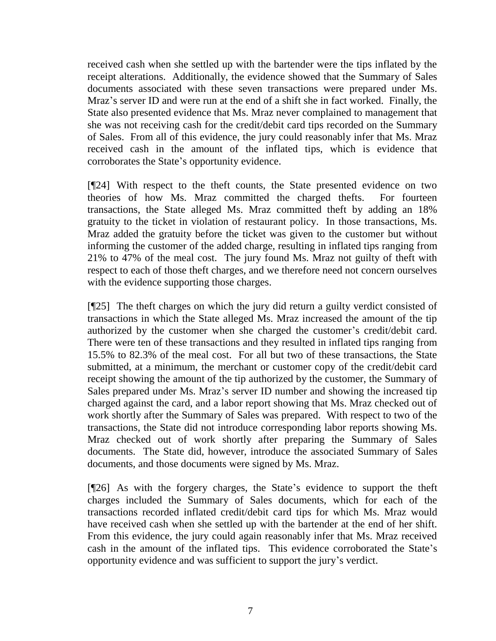received cash when she settled up with the bartender were the tips inflated by the receipt alterations. Additionally, the evidence showed that the Summary of Sales documents associated with these seven transactions were prepared under Ms. Mraz's server ID and were run at the end of a shift she in fact worked. Finally, the State also presented evidence that Ms. Mraz never complained to management that she was not receiving cash for the credit/debit card tips recorded on the Summary of Sales. From all of this evidence, the jury could reasonably infer that Ms. Mraz received cash in the amount of the inflated tips, which is evidence that corroborates the State's opportunity evidence.

[¶24] With respect to the theft counts, the State presented evidence on two theories of how Ms. Mraz committed the charged thefts. For fourteen transactions, the State alleged Ms. Mraz committed theft by adding an 18% gratuity to the ticket in violation of restaurant policy. In those transactions, Ms. Mraz added the gratuity before the ticket was given to the customer but without informing the customer of the added charge, resulting in inflated tips ranging from 21% to 47% of the meal cost. The jury found Ms. Mraz not guilty of theft with respect to each of those theft charges, and we therefore need not concern ourselves with the evidence supporting those charges.

[¶25] The theft charges on which the jury did return a guilty verdict consisted of transactions in which the State alleged Ms. Mraz increased the amount of the tip authorized by the customer when she charged the customer's credit/debit card. There were ten of these transactions and they resulted in inflated tips ranging from 15.5% to 82.3% of the meal cost. For all but two of these transactions, the State submitted, at a minimum, the merchant or customer copy of the credit/debit card receipt showing the amount of the tip authorized by the customer, the Summary of Sales prepared under Ms. Mraz's server ID number and showing the increased tip charged against the card, and a labor report showing that Ms. Mraz checked out of work shortly after the Summary of Sales was prepared. With respect to two of the transactions, the State did not introduce corresponding labor reports showing Ms. Mraz checked out of work shortly after preparing the Summary of Sales documents. The State did, however, introduce the associated Summary of Sales documents, and those documents were signed by Ms. Mraz.

[¶26] As with the forgery charges, the State's evidence to support the theft charges included the Summary of Sales documents, which for each of the transactions recorded inflated credit/debit card tips for which Ms. Mraz would have received cash when she settled up with the bartender at the end of her shift. From this evidence, the jury could again reasonably infer that Ms. Mraz received cash in the amount of the inflated tips. This evidence corroborated the State's opportunity evidence and was sufficient to support the jury's verdict.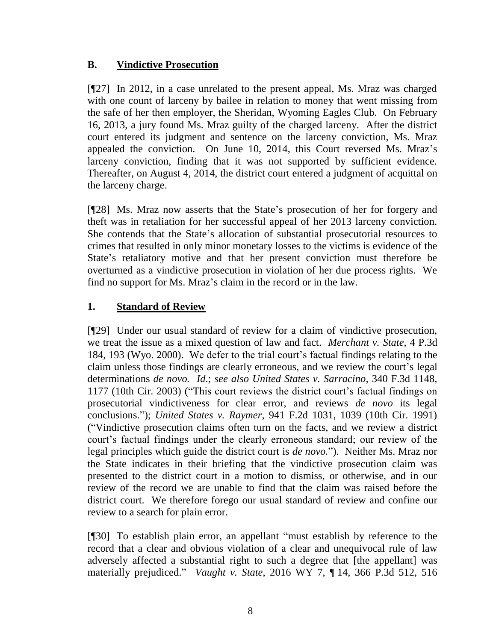### **B. Vindictive Prosecution**

[¶27] In 2012, in a case unrelated to the present appeal, Ms. Mraz was charged with one count of larceny by bailee in relation to money that went missing from the safe of her then employer, the Sheridan, Wyoming Eagles Club. On February 16, 2013, a jury found Ms. Mraz guilty of the charged larceny. After the district court entered its judgment and sentence on the larceny conviction, Ms. Mraz appealed the conviction. On June 10, 2014, this Court reversed Ms. Mraz's larceny conviction, finding that it was not supported by sufficient evidence. Thereafter, on August 4, 2014, the district court entered a judgment of acquittal on the larceny charge.

[¶28] Ms. Mraz now asserts that the State's prosecution of her for forgery and theft was in retaliation for her successful appeal of her 2013 larceny conviction. She contends that the State's allocation of substantial prosecutorial resources to crimes that resulted in only minor monetary losses to the victims is evidence of the State's retaliatory motive and that her present conviction must therefore be overturned as a vindictive prosecution in violation of her due process rights. We find no support for Ms. Mraz's claim in the record or in the law.

# **1. Standard of Review**

[¶29] Under our usual standard of review for a claim of vindictive prosecution, we treat the issue as a mixed question of law and fact. *Merchant v. State*, 4 P.3d 184, 193 (Wyo. 2000). We defer to the trial court's factual findings relating to the claim unless those findings are clearly erroneous, and we review the court's legal determinations *de novo. Id*.; *see also United States v. Sarracino*, 340 F.3d 1148, 1177 (10th Cir. 2003) ("This court reviews the district court's factual findings on prosecutorial vindictiveness for clear error, and reviews *de novo* its legal conclusions."); *United States v. Raymer*, 941 F.2d 1031, 1039 (10th Cir. 1991) ("Vindictive prosecution claims often turn on the facts, and we review a district court's factual findings under the clearly erroneous standard; our review of the legal principles which guide the district court is *de novo.*"). Neither Ms. Mraz nor the State indicates in their briefing that the vindictive prosecution claim was presented to the district court in a motion to dismiss, or otherwise, and in our review of the record we are unable to find that the claim was raised before the district court. We therefore forego our usual standard of review and confine our review to a search for plain error.

[¶30] To establish plain error, an appellant "must establish by reference to the record that a clear and obvious violation of a clear and unequivocal rule of law adversely affected a substantial right to such a degree that [the appellant] was materially prejudiced." *Vaught v. State*, 2016 WY 7, ¶ 14, 366 P.3d 512, 516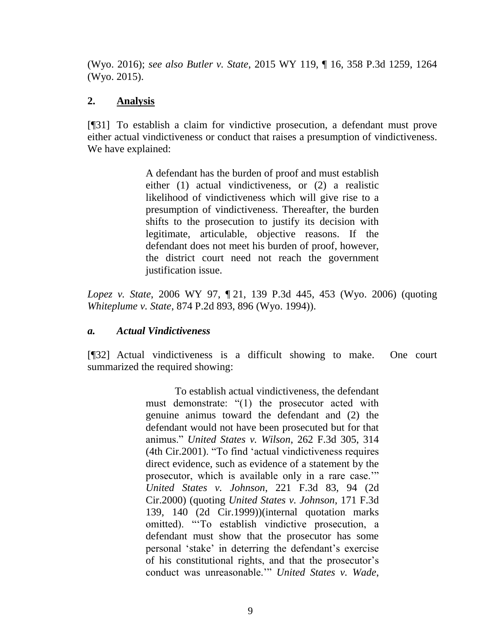(Wyo. 2016); *see also Butler v. State*, 2015 WY 119, ¶ 16, 358 P.3d 1259, 1264 (Wyo. 2015).

### **2. Analysis**

[¶31] To establish a claim for vindictive prosecution, a defendant must prove either actual vindictiveness or conduct that raises a presumption of vindictiveness. We have explained:

> A defendant has the burden of proof and must establish either (1) actual vindictiveness, or (2) a realistic likelihood of vindictiveness which will give rise to a presumption of vindictiveness. Thereafter, the burden shifts to the prosecution to justify its decision with legitimate, articulable, objective reasons. If the defendant does not meet his burden of proof, however, the district court need not reach the government justification issue.

*Lopez v. State*, 2006 WY 97, ¶ 21, 139 P.3d 445, 453 (Wyo. 2006) (quoting *Whiteplume v. State*[, 874 P.2d 893, 896 \(Wyo.](http://www.westlaw.com/Link/Document/FullText?findType=Y&serNum=1994115259&pubNum=661&originatingDoc=I2d9a0cfb23cd11dbb0d3b726c66cf290&refType=RP&fi=co_pp_sp_661_896&originationContext=document&vr=3.0&rs=cblt1.0&transitionType=DocumentItem&contextData=(sc.Search)#co_pp_sp_661_896) 1994)).

### *a. Actual Vindictiveness*

[¶32] Actual vindictiveness is a difficult showing to make. One court summarized the required showing:

> To establish actual vindictiveness, the defendant must demonstrate: "(1) the prosecutor acted with genuine animus toward the defendant and (2) the defendant would not have been prosecuted but for that animus." *[United States v. Wilson](http://www.westlaw.com/Link/Document/FullText?findType=Y&serNum=2001704362&pubNum=0000506&originatingDoc=I436e4bfc6d6a11e4b86bd602cb8781fa&refType=RP&fi=co_pp_sp_506_314&originationContext=document&vr=3.0&rs=cblt1.0&transitionType=DocumentItem&contextData=(sc.Search)#co_pp_sp_506_314)*, 262 F.3d 305, 314 [\(4th Cir.2001\).](http://www.westlaw.com/Link/Document/FullText?findType=Y&serNum=2001704362&pubNum=0000506&originatingDoc=I436e4bfc6d6a11e4b86bd602cb8781fa&refType=RP&fi=co_pp_sp_506_314&originationContext=document&vr=3.0&rs=cblt1.0&transitionType=DocumentItem&contextData=(sc.Search)#co_pp_sp_506_314) "To find 'actual vindictiveness requires direct evidence, such as evidence of a statement by the prosecutor, which is available only in a rare case.'" *[United States v. Johnson](http://www.westlaw.com/Link/Document/FullText?findType=Y&serNum=2000469498&pubNum=0000506&originatingDoc=I436e4bfc6d6a11e4b86bd602cb8781fa&refType=RP&fi=co_pp_sp_506_94&originationContext=document&vr=3.0&rs=cblt1.0&transitionType=DocumentItem&contextData=(sc.Search)#co_pp_sp_506_94)*, 221 F.3d 83, 94 (2d [Cir.2000\)](http://www.westlaw.com/Link/Document/FullText?findType=Y&serNum=2000469498&pubNum=0000506&originatingDoc=I436e4bfc6d6a11e4b86bd602cb8781fa&refType=RP&fi=co_pp_sp_506_94&originationContext=document&vr=3.0&rs=cblt1.0&transitionType=DocumentItem&contextData=(sc.Search)#co_pp_sp_506_94) (quoting *[United States v. Johnson](http://www.westlaw.com/Link/Document/FullText?findType=Y&serNum=1999087533&pubNum=0000506&originatingDoc=I436e4bfc6d6a11e4b86bd602cb8781fa&refType=RP&fi=co_pp_sp_506_140&originationContext=document&vr=3.0&rs=cblt1.0&transitionType=DocumentItem&contextData=(sc.Search)#co_pp_sp_506_140)*, 171 F.3d [139, 140 \(2d Cir.1999\)\)](http://www.westlaw.com/Link/Document/FullText?findType=Y&serNum=1999087533&pubNum=0000506&originatingDoc=I436e4bfc6d6a11e4b86bd602cb8781fa&refType=RP&fi=co_pp_sp_506_140&originationContext=document&vr=3.0&rs=cblt1.0&transitionType=DocumentItem&contextData=(sc.Search)#co_pp_sp_506_140)(internal quotation marks omitted). "'To establish vindictive prosecution, a defendant must show that the prosecutor has some personal 'stake' in deterring the defendant's exercise of his constitutional rights, and that the prosecutor's conduct was unreasonable.'" *[United States v. Wade](http://www.westlaw.com/Link/Document/FullText?findType=Y&serNum=2001818291&pubNum=0000506&originatingDoc=I436e4bfc6d6a11e4b86bd602cb8781fa&refType=RP&fi=co_pp_sp_506_585&originationContext=document&vr=3.0&rs=cblt1.0&transitionType=DocumentItem&contextData=(sc.Search)#co_pp_sp_506_585)*,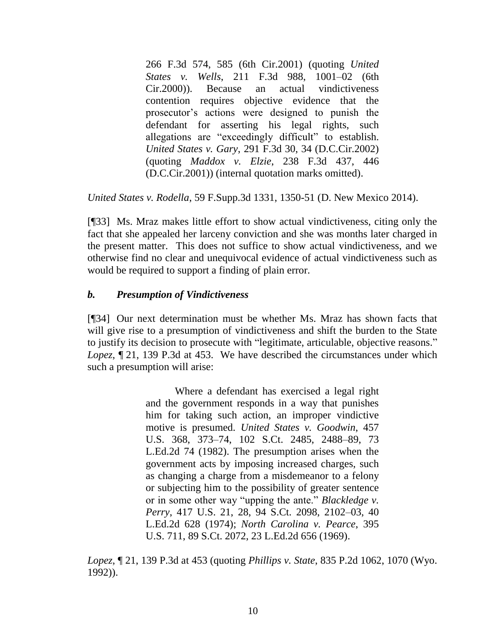266 F.3d 574, 585 (6th Cir.2001) (quoting *[United](http://www.westlaw.com/Link/Document/FullText?findType=Y&serNum=2000305731&pubNum=0000506&originatingDoc=I436e4bfc6d6a11e4b86bd602cb8781fa&refType=RP&fi=co_pp_sp_506_1001&originationContext=document&vr=3.0&rs=cblt1.0&transitionType=DocumentItem&contextData=(sc.Search)#co_pp_sp_506_1001)  States v. Wells*, 211 [F.3d 988, 1001–02 \(6th](http://www.westlaw.com/Link/Document/FullText?findType=Y&serNum=2000305731&pubNum=0000506&originatingDoc=I436e4bfc6d6a11e4b86bd602cb8781fa&refType=RP&fi=co_pp_sp_506_1001&originationContext=document&vr=3.0&rs=cblt1.0&transitionType=DocumentItem&contextData=(sc.Search)#co_pp_sp_506_1001)  [Cir.2000\)\)](http://www.westlaw.com/Link/Document/FullText?findType=Y&serNum=2000305731&pubNum=0000506&originatingDoc=I436e4bfc6d6a11e4b86bd602cb8781fa&refType=RP&fi=co_pp_sp_506_1001&originationContext=document&vr=3.0&rs=cblt1.0&transitionType=DocumentItem&contextData=(sc.Search)#co_pp_sp_506_1001). Because an actual vindictiveness contention requires objective evidence that the prosecutor's actions were designed to punish the defendant for asserting his legal rights, such allegations are "exceedingly difficult" to establish. *United States v. Gary*[, 291 F.3d 30, 34 \(D.C.Cir.2002\)](http://www.westlaw.com/Link/Document/FullText?findType=Y&serNum=2002313954&pubNum=0000506&originatingDoc=I436e4bfc6d6a11e4b86bd602cb8781fa&refType=RP&fi=co_pp_sp_506_34&originationContext=document&vr=3.0&rs=cblt1.0&transitionType=DocumentItem&contextData=(sc.Search)#co_pp_sp_506_34) (quoting *Maddox v. Elzie*[, 238 F.3d 437, 446](http://www.westlaw.com/Link/Document/FullText?findType=Y&serNum=2001045834&pubNum=0000506&originatingDoc=I436e4bfc6d6a11e4b86bd602cb8781fa&refType=RP&fi=co_pp_sp_506_446&originationContext=document&vr=3.0&rs=cblt1.0&transitionType=DocumentItem&contextData=(sc.Search)#co_pp_sp_506_446)  [\(D.C.Cir.2001\)\)](http://www.westlaw.com/Link/Document/FullText?findType=Y&serNum=2001045834&pubNum=0000506&originatingDoc=I436e4bfc6d6a11e4b86bd602cb8781fa&refType=RP&fi=co_pp_sp_506_446&originationContext=document&vr=3.0&rs=cblt1.0&transitionType=DocumentItem&contextData=(sc.Search)#co_pp_sp_506_446) (internal quotation marks omitted).

*United States v. Rodella*, 59 F.Supp.3d 1331, 1350-51 (D. New Mexico 2014).

[¶33] Ms. Mraz makes little effort to show actual vindictiveness, citing only the fact that she appealed her larceny conviction and she was months later charged in the present matter. This does not suffice to show actual vindictiveness, and we otherwise find no clear and unequivocal evidence of actual vindictiveness such as would be required to support a finding of plain error.

#### *b. Presumption of Vindictiveness*

[¶34] Our next determination must be whether Ms. Mraz has shown facts that will give rise to a presumption of vindictiveness and shift the burden to the State to justify its decision to prosecute with "legitimate, articulable, objective reasons." *Lopez*, ¶ 21, 139 P.3d at 453. We have described the circumstances under which such a presumption will arise:

> Where a defendant has exercised a legal right and the government responds in a way that punishes him for taking such action, an improper vindictive motive is presumed. *[United States v. Goodwin](http://www.westlaw.com/Link/Document/FullText?findType=Y&serNum=1982127303&pubNum=708&originatingDoc=I2d9a0cfb23cd11dbb0d3b726c66cf290&refType=RP&fi=co_pp_sp_708_2488&originationContext=document&vr=3.0&rs=cblt1.0&transitionType=DocumentItem&contextData=(sc.Search)#co_pp_sp_708_2488)*, 457 [U.S. 368, 373–74, 102 S.Ct. 2485, 2488–89, 73](http://www.westlaw.com/Link/Document/FullText?findType=Y&serNum=1982127303&pubNum=708&originatingDoc=I2d9a0cfb23cd11dbb0d3b726c66cf290&refType=RP&fi=co_pp_sp_708_2488&originationContext=document&vr=3.0&rs=cblt1.0&transitionType=DocumentItem&contextData=(sc.Search)#co_pp_sp_708_2488)  [L.Ed.2d 74 \(1982\).](http://www.westlaw.com/Link/Document/FullText?findType=Y&serNum=1982127303&pubNum=708&originatingDoc=I2d9a0cfb23cd11dbb0d3b726c66cf290&refType=RP&fi=co_pp_sp_708_2488&originationContext=document&vr=3.0&rs=cblt1.0&transitionType=DocumentItem&contextData=(sc.Search)#co_pp_sp_708_2488) The presumption arises when the government acts by imposing increased charges, such as changing a charge from a misdemeanor to a felony or subjecting him to the possibility of greater sentence or in some other way "upping the ante." *[Blackledge v.](http://www.westlaw.com/Link/Document/FullText?findType=Y&serNum=1974127189&pubNum=708&originatingDoc=I2d9a0cfb23cd11dbb0d3b726c66cf290&refType=RP&fi=co_pp_sp_708_2102&originationContext=document&vr=3.0&rs=cblt1.0&transitionType=DocumentItem&contextData=(sc.Search)#co_pp_sp_708_2102)  Perry*[, 417 U.S. 21, 28, 94 S.Ct. 2098, 2102–03, 40](http://www.westlaw.com/Link/Document/FullText?findType=Y&serNum=1974127189&pubNum=708&originatingDoc=I2d9a0cfb23cd11dbb0d3b726c66cf290&refType=RP&fi=co_pp_sp_708_2102&originationContext=document&vr=3.0&rs=cblt1.0&transitionType=DocumentItem&contextData=(sc.Search)#co_pp_sp_708_2102)  [L.Ed.2d 628 \(1974\);](http://www.westlaw.com/Link/Document/FullText?findType=Y&serNum=1974127189&pubNum=708&originatingDoc=I2d9a0cfb23cd11dbb0d3b726c66cf290&refType=RP&fi=co_pp_sp_708_2102&originationContext=document&vr=3.0&rs=cblt1.0&transitionType=DocumentItem&contextData=(sc.Search)#co_pp_sp_708_2102) *[North Carolina v. Pearce](http://www.westlaw.com/Link/Document/FullText?findType=Y&serNum=1969133025&pubNum=708&originatingDoc=I2d9a0cfb23cd11dbb0d3b726c66cf290&refType=RP&originationContext=document&vr=3.0&rs=cblt1.0&transitionType=DocumentItem&contextData=(sc.Search))*, 395 [U.S. 711, 89 S.Ct. 2072, 23 L.Ed.2d 656 \(1969\).](http://www.westlaw.com/Link/Document/FullText?findType=Y&serNum=1969133025&pubNum=708&originatingDoc=I2d9a0cfb23cd11dbb0d3b726c66cf290&refType=RP&originationContext=document&vr=3.0&rs=cblt1.0&transitionType=DocumentItem&contextData=(sc.Search))

*Lopez*, ¶ 21, 139 P.3d at 453 (quoting *Phillips v. State*[, 835 P.2d 1062, 1070 \(Wyo.](http://www.westlaw.com/Link/Document/FullText?findType=Y&serNum=1992105792&pubNum=661&originatingDoc=I2d9a0cfb23cd11dbb0d3b726c66cf290&refType=RP&fi=co_pp_sp_661_1070&originationContext=document&vr=3.0&rs=cblt1.0&transitionType=DocumentItem&contextData=(sc.Search)#co_pp_sp_661_1070) [1992\)\)](http://www.westlaw.com/Link/Document/FullText?findType=Y&serNum=1992105792&pubNum=661&originatingDoc=I2d9a0cfb23cd11dbb0d3b726c66cf290&refType=RP&fi=co_pp_sp_661_1070&originationContext=document&vr=3.0&rs=cblt1.0&transitionType=DocumentItem&contextData=(sc.Search)#co_pp_sp_661_1070).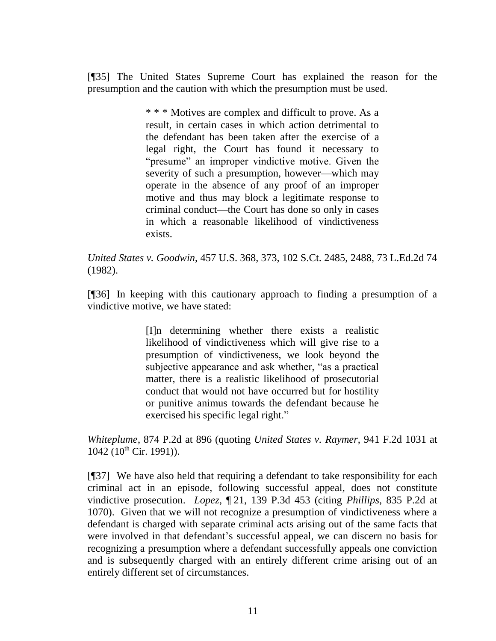[¶35] The United States Supreme Court has explained the reason for the presumption and the caution with which the presumption must be used.

> \* \* \* Motives are complex and difficult to prove. As a result, in certain cases in which action detrimental to the defendant has been taken after the exercise of a legal right, the Court has found it necessary to "presume" an improper vindictive motive. Given the severity of such a presumption, however—which may operate in the absence of any proof of an improper motive and thus may block a legitimate response to criminal conduct—the Court has done so only in cases in which a reasonable likelihood of vindictiveness exists.

*United States v. Goodwin*[, 457 U.S. 368, 373, 102 S.Ct. 2485, 2488, 73 L.Ed.2d 74](http://www.westlaw.com/Link/Document/FullText?findType=Y&serNum=1982127303&pubNum=708&originatingDoc=I2d9a0cfb23cd11dbb0d3b726c66cf290&refType=RP&fi=co_pp_sp_708_2488&originationContext=document&vr=3.0&rs=cblt1.0&transitionType=DocumentItem&contextData=(sc.Search)#co_pp_sp_708_2488)  [\(1982\).](http://www.westlaw.com/Link/Document/FullText?findType=Y&serNum=1982127303&pubNum=708&originatingDoc=I2d9a0cfb23cd11dbb0d3b726c66cf290&refType=RP&fi=co_pp_sp_708_2488&originationContext=document&vr=3.0&rs=cblt1.0&transitionType=DocumentItem&contextData=(sc.Search)#co_pp_sp_708_2488)

[¶36] In keeping with this cautionary approach to finding a presumption of a vindictive motive, we have stated:

> [I]n determining whether there exists a realistic likelihood of vindictiveness which will give rise to a presumption of vindictiveness, we look beyond the subjective appearance and ask whether, "as a practical matter, there is a realistic likelihood of prosecutorial conduct that would not have occurred but for hostility or punitive animus towards the defendant because he exercised his specific legal right."

*Whiteplume*, 874 P.2d at 896 (quoting *United States v. Raymer*[, 941 F.2d](http://www.westlaw.com/Link/Document/FullText?findType=Y&serNum=1991131844&pubNum=350&originatingDoc=Ib4bc2605f59211d9b386b232635db992&refType=RP&fi=co_pp_sp_350_1042&originationContext=document&vr=3.0&rs=cblt1.0&transitionType=DocumentItem&contextData=(sc.UserEnteredCitation)#co_pp_sp_350_1042) 1031 at  $1042 (10^{th}$  $1042 (10^{th}$  Cir. 1991)).

[¶37] We have also held that requiring a defendant to take responsibility for each criminal act in an episode, following successful appeal, does not constitute vindictive prosecution. *Lopez*, ¶ 21, 139 P.3d 453 (citing *Phillips*, 835 P.2d at 1070). Given that we will not recognize a presumption of vindictiveness where a defendant is charged with separate criminal acts arising out of the same facts that were involved in that defendant's successful appeal, we can discern no basis for recognizing a presumption where a defendant successfully appeals one conviction and is subsequently charged with an entirely different crime arising out of an entirely different set of circumstances.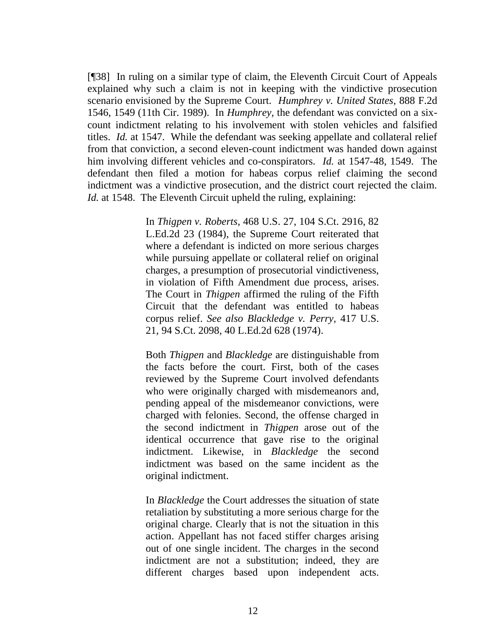[¶38] In ruling on a similar type of claim, the Eleventh Circuit Court of Appeals explained why such a claim is not in keeping with the vindictive prosecution scenario envisioned by the Supreme Court. *Humphrey v. United States*, 888 F.2d 1546, 1549 (11th Cir. 1989). In *Humphrey*, the defendant was convicted on a sixcount indictment relating to his involvement with stolen vehicles and falsified titles. *Id.* at 1547. While the defendant was seeking appellate and collateral relief from that conviction, a second eleven-count indictment was handed down against him involving different vehicles and co-conspirators. *Id.* at 1547-48, 1549. The defendant then filed a motion for habeas corpus relief claiming the second indictment was a vindictive prosecution, and the district court rejected the claim. *Id.* at 1548. The Eleventh Circuit upheld the ruling, explaining:

> In *Thigpen v. Roberts*[, 468 U.S. 27, 104 S.Ct. 2916, 82](http://www.westlaw.com/Link/Document/FullText?findType=Y&serNum=1984131037&pubNum=708&originatingDoc=I46bbc3a0971811d9bc61beebb95be672&refType=RP&originationContext=document&vr=3.0&rs=cblt1.0&transitionType=DocumentItem&contextData=(sc.Keycite))  [L.Ed.2d 23 \(1984\),](http://www.westlaw.com/Link/Document/FullText?findType=Y&serNum=1984131037&pubNum=708&originatingDoc=I46bbc3a0971811d9bc61beebb95be672&refType=RP&originationContext=document&vr=3.0&rs=cblt1.0&transitionType=DocumentItem&contextData=(sc.Keycite)) the Supreme Court reiterated that where a defendant is indicted on more serious charges while pursuing appellate or collateral relief on original charges, a presumption of prosecutorial vindictiveness, in violation of Fifth Amendment due process, arises. The Court in *[Thigpen](http://www.westlaw.com/Link/Document/FullText?findType=Y&serNum=1984131037&originatingDoc=I46bbc3a0971811d9bc61beebb95be672&refType=RP&originationContext=document&vr=3.0&rs=cblt1.0&transitionType=DocumentItem&contextData=(sc.Keycite))* affirmed the ruling of the Fifth Circuit that the defendant was entitled to habeas corpus relief. *See also [Blackledge v. Perry](http://www.westlaw.com/Link/Document/FullText?findType=Y&serNum=1974127189&pubNum=708&originatingDoc=I46bbc3a0971811d9bc61beebb95be672&refType=RP&originationContext=document&vr=3.0&rs=cblt1.0&transitionType=DocumentItem&contextData=(sc.Keycite))*, 417 U.S. [21, 94 S.Ct. 2098, 40 L.Ed.2d 628 \(1974\).](http://www.westlaw.com/Link/Document/FullText?findType=Y&serNum=1974127189&pubNum=708&originatingDoc=I46bbc3a0971811d9bc61beebb95be672&refType=RP&originationContext=document&vr=3.0&rs=cblt1.0&transitionType=DocumentItem&contextData=(sc.Keycite))

> Both *[Thigpen](http://www.westlaw.com/Link/Document/FullText?findType=Y&serNum=1984131037&originatingDoc=I46bbc3a0971811d9bc61beebb95be672&refType=RP&originationContext=document&vr=3.0&rs=cblt1.0&transitionType=DocumentItem&contextData=(sc.Keycite))* and *[Blackledge](http://www.westlaw.com/Link/Document/FullText?findType=Y&serNum=1974127189&originatingDoc=I46bbc3a0971811d9bc61beebb95be672&refType=RP&originationContext=document&vr=3.0&rs=cblt1.0&transitionType=DocumentItem&contextData=(sc.Keycite))* are distinguishable from the facts before the court. First, both of the cases reviewed by the Supreme Court involved defendants who were originally charged with misdemeanors and, pending appeal of the misdemeanor convictions, were charged with felonies. Second, the offense charged in the second indictment in *[Thigpen](http://www.westlaw.com/Link/Document/FullText?findType=Y&serNum=1984131037&originatingDoc=I46bbc3a0971811d9bc61beebb95be672&refType=RP&originationContext=document&vr=3.0&rs=cblt1.0&transitionType=DocumentItem&contextData=(sc.Keycite))* arose out of the identical occurrence that gave rise to the original indictment. Likewise, in *[Blackledge](http://www.westlaw.com/Link/Document/FullText?findType=Y&serNum=1974127189&originatingDoc=I46bbc3a0971811d9bc61beebb95be672&refType=RP&originationContext=document&vr=3.0&rs=cblt1.0&transitionType=DocumentItem&contextData=(sc.Keycite))* the second indictment was based on the same incident as the original indictment.

> In *[Blackledge](http://www.westlaw.com/Link/Document/FullText?findType=Y&serNum=1974127189&originatingDoc=I46bbc3a0971811d9bc61beebb95be672&refType=RP&originationContext=document&vr=3.0&rs=cblt1.0&transitionType=DocumentItem&contextData=(sc.Keycite))* the Court addresses the situation of state retaliation by substituting a more serious charge for the original charge. Clearly that is not the situation in this action. Appellant has not faced stiffer charges arising out of one single incident. The charges in the second indictment are not a substitution; indeed, they are different charges based upon independent acts.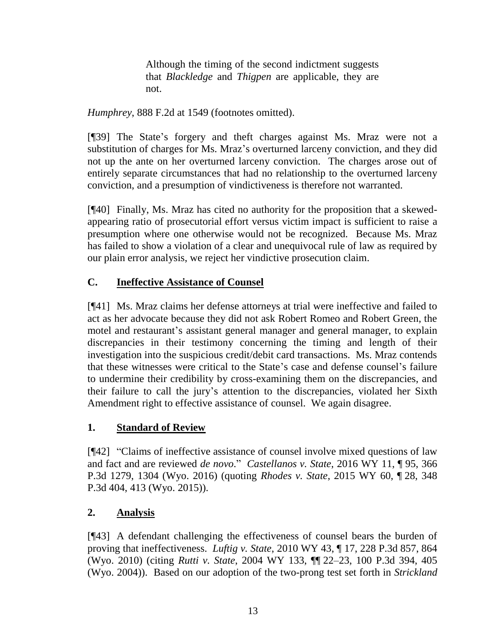Although the timing of the second indictment suggests that *[Blackledge](http://www.westlaw.com/Link/Document/FullText?findType=Y&serNum=1974127189&originatingDoc=I46bbc3a0971811d9bc61beebb95be672&refType=RP&originationContext=document&vr=3.0&rs=cblt1.0&transitionType=DocumentItem&contextData=(sc.Keycite))* and *[Thigpen](http://www.westlaw.com/Link/Document/FullText?findType=Y&serNum=1984131037&originatingDoc=I46bbc3a0971811d9bc61beebb95be672&refType=RP&originationContext=document&vr=3.0&rs=cblt1.0&transitionType=DocumentItem&contextData=(sc.Keycite))* are applicable, they are not.

*Humphrey*, 888 F.2d at 1549 (footnotes omitted).

[¶39] The State's forgery and theft charges against Ms. Mraz were not a substitution of charges for Ms. Mraz's overturned larceny conviction, and they did not up the ante on her overturned larceny conviction. The charges arose out of entirely separate circumstances that had no relationship to the overturned larceny conviction, and a presumption of vindictiveness is therefore not warranted.

[¶40] Finally, Ms. Mraz has cited no authority for the proposition that a skewedappearing ratio of prosecutorial effort versus victim impact is sufficient to raise a presumption where one otherwise would not be recognized. Because Ms. Mraz has failed to show a violation of a clear and unequivocal rule of law as required by our plain error analysis, we reject her vindictive prosecution claim.

# **C. Ineffective Assistance of Counsel**

[¶41] Ms. Mraz claims her defense attorneys at trial were ineffective and failed to act as her advocate because they did not ask Robert Romeo and Robert Green, the motel and restaurant's assistant general manager and general manager, to explain discrepancies in their testimony concerning the timing and length of their investigation into the suspicious credit/debit card transactions. Ms. Mraz contends that these witnesses were critical to the State's case and defense counsel's failure to undermine their credibility by cross-examining them on the discrepancies, and their failure to call the jury's attention to the discrepancies, violated her Sixth Amendment right to effective assistance of counsel. We again disagree.

# **1. Standard of Review**

[¶42] "Claims of ineffective assistance of counsel involve mixed questions of law and fact and are reviewed *de novo*." *Castellanos v. State*, 2016 WY 11, ¶ 95, 366 P.3d 1279, 1304 (Wyo. 2016) (quoting *Rhodes v. State*[, 2015 WY 60, ¶](http://www.westlaw.com/Link/Document/FullText?findType=Y&serNum=2036150484&pubNum=0004645&originatingDoc=Iab85459bc4cf11e5a807ad48145ed9f1&refType=RP&fi=co_pp_sp_4645_407&originationContext=document&vr=3.0&rs=cblt1.0&transitionType=DocumentItem&contextData=(sc.Search)#co_pp_sp_4645_407) 28, 348 [P.3d 404, 413](http://www.westlaw.com/Link/Document/FullText?findType=Y&serNum=2036150484&pubNum=0004645&originatingDoc=Iab85459bc4cf11e5a807ad48145ed9f1&refType=RP&fi=co_pp_sp_4645_407&originationContext=document&vr=3.0&rs=cblt1.0&transitionType=DocumentItem&contextData=(sc.Search)#co_pp_sp_4645_407) (Wyo. 2015)).

# **2. Analysis**

[¶43] A defendant challenging the effectiveness of counsel bears the burden of proving that ineffectiveness. *Luftig v. State*, 2010 WY 43, ¶ 17, 228 P.3d 857, 864 (Wyo. 2010) (citing *Rutti v. State*, 2004 WY 133, ¶¶ [22–23, 100 P.3d 394, 405](http://www.westlaw.com/Link/Document/FullText?findType=Y&serNum=2005464896&pubNum=4645&originatingDoc=I719fde70488f11dfaad3d35f6227d4a8&refType=RP&fi=co_pp_sp_4645_405&originationContext=document&vr=3.0&rs=cblt1.0&transitionType=DocumentItem&contextData=(sc.Search)#co_pp_sp_4645_405)  [\(Wyo.](http://www.westlaw.com/Link/Document/FullText?findType=Y&serNum=2005464896&pubNum=4645&originatingDoc=I719fde70488f11dfaad3d35f6227d4a8&refType=RP&fi=co_pp_sp_4645_405&originationContext=document&vr=3.0&rs=cblt1.0&transitionType=DocumentItem&contextData=(sc.Search)#co_pp_sp_4645_405) 2004)). Based on our adoption of the two-prong test set forth in *[Strickland](http://www.westlaw.com/Link/Document/FullText?findType=Y&serNum=1984123336&pubNum=0000708&originatingDoc=Ie8feb15bd52111e4a807ad48145ed9f1&refType=RP&fi=co_pp_sp_708_2064&originationContext=document&vr=3.0&rs=cblt1.0&transitionType=DocumentItem&contextData=(sc.Search)#co_pp_sp_708_2064)*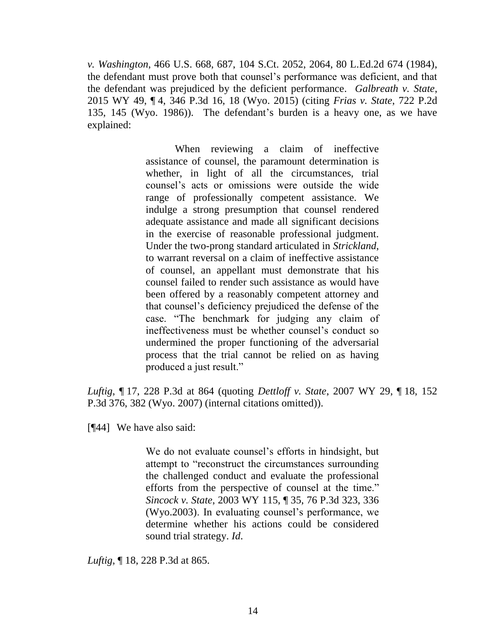*v. Washington*, 466 U.S. 668, 687, 104 S.Ct. 2052, 2064, 80 L.Ed.2d 674 (1984), the defendant must prove both that counsel's performance was deficient, and that the defendant was prejudiced by the deficient performance. *Galbreath v. State*, 2015 WY 49, ¶ 4, 346 P.3d 16, 18 (Wyo. 2015) (citing *[Frias v. State](http://www.westlaw.com/Link/Document/FullText?findType=Y&serNum=1986133567&pubNum=0000661&originatingDoc=Ie8feb15bd52111e4a807ad48145ed9f1&refType=RP&fi=co_pp_sp_661_145&originationContext=document&vr=3.0&rs=cblt1.0&transitionType=DocumentItem&contextData=(sc.Search)#co_pp_sp_661_145)*, 722 P.2d [135, 145 \(Wyo.](http://www.westlaw.com/Link/Document/FullText?findType=Y&serNum=1986133567&pubNum=0000661&originatingDoc=Ie8feb15bd52111e4a807ad48145ed9f1&refType=RP&fi=co_pp_sp_661_145&originationContext=document&vr=3.0&rs=cblt1.0&transitionType=DocumentItem&contextData=(sc.Search)#co_pp_sp_661_145) 1986)). The defendant's burden is a heavy one, as we have explained:

> When reviewing a claim of ineffective assistance of counsel, the paramount determination is whether, in light of all the circumstances, trial counsel's acts or omissions were outside the wide range of professionally competent assistance. We indulge a strong presumption that counsel rendered adequate assistance and made all significant decisions in the exercise of reasonable professional judgment. Under the two-prong standard articulated in *[Strickland](http://www.westlaw.com/Link/Document/FullText?findType=Y&serNum=1984123336&originatingDoc=I719fde70488f11dfaad3d35f6227d4a8&refType=RP&originationContext=document&vr=3.0&rs=cblt1.0&transitionType=DocumentItem&contextData=(sc.Search))*, to warrant reversal on a claim of ineffective assistance of counsel, an appellant must demonstrate that his counsel failed to render such assistance as would have been offered by a reasonably competent attorney and that counsel's deficiency prejudiced the defense of the case. "The benchmark for judging any claim of ineffectiveness must be whether counsel's conduct so undermined the proper functioning of the adversarial process that the trial cannot be relied on as having produced a just result."

*Luftig*, ¶ 17, 228 P.3d at 864 (quoting *Dettloff v. State*[, 2007 WY 29, ¶](http://www.westlaw.com/Link/Document/FullText?findType=Y&serNum=2011513550&pubNum=4645&originatingDoc=I719fde70488f11dfaad3d35f6227d4a8&refType=RP&fi=co_pp_sp_4645_382&originationContext=document&vr=3.0&rs=cblt1.0&transitionType=DocumentItem&contextData=(sc.Search)#co_pp_sp_4645_382) 18, 152 [P.3d 376, 382 \(Wyo.](http://www.westlaw.com/Link/Document/FullText?findType=Y&serNum=2011513550&pubNum=4645&originatingDoc=I719fde70488f11dfaad3d35f6227d4a8&refType=RP&fi=co_pp_sp_4645_382&originationContext=document&vr=3.0&rs=cblt1.0&transitionType=DocumentItem&contextData=(sc.Search)#co_pp_sp_4645_382) 2007) (internal citations omitted)).

[¶44] We have also said:

We do not evaluate counsel's efforts in hindsight, but attempt to "reconstruct the circumstances surrounding the challenged conduct and evaluate the professional efforts from the perspective of counsel at the time." *Sincock v. State*, 2003 WY 115, ¶ [35, 76 P.3d 323, 336](http://www.westlaw.com/Link/Document/FullText?findType=Y&serNum=2003621606&pubNum=4645&originatingDoc=I719fde70488f11dfaad3d35f6227d4a8&refType=RP&fi=co_pp_sp_4645_336&originationContext=document&vr=3.0&rs=cblt1.0&transitionType=DocumentItem&contextData=(sc.Search)#co_pp_sp_4645_336)  [\(Wyo.2003\).](http://www.westlaw.com/Link/Document/FullText?findType=Y&serNum=2003621606&pubNum=4645&originatingDoc=I719fde70488f11dfaad3d35f6227d4a8&refType=RP&fi=co_pp_sp_4645_336&originationContext=document&vr=3.0&rs=cblt1.0&transitionType=DocumentItem&contextData=(sc.Search)#co_pp_sp_4645_336) In evaluating counsel's performance, we determine whether his actions could be considered sound trial strategy. *[Id](http://www.westlaw.com/Link/Document/FullText?findType=Y&serNum=2003621606&originatingDoc=I719fde70488f11dfaad3d35f6227d4a8&refType=RP&originationContext=document&vr=3.0&rs=cblt1.0&transitionType=DocumentItem&contextData=(sc.Search))*.

*Luftig*, ¶ 18, 228 P.3d at 865.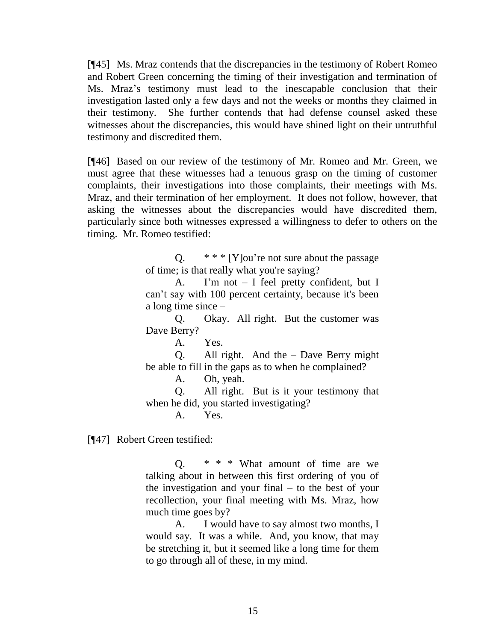[¶45] Ms. Mraz contends that the discrepancies in the testimony of Robert Romeo and Robert Green concerning the timing of their investigation and termination of Ms. Mraz's testimony must lead to the inescapable conclusion that their investigation lasted only a few days and not the weeks or months they claimed in their testimony. She further contends that had defense counsel asked these witnesses about the discrepancies, this would have shined light on their untruthful testimony and discredited them.

[¶46] Based on our review of the testimony of Mr. Romeo and Mr. Green, we must agree that these witnesses had a tenuous grasp on the timing of customer complaints, their investigations into those complaints, their meetings with Ms. Mraz, and their termination of her employment. It does not follow, however, that asking the witnesses about the discrepancies would have discredited them, particularly since both witnesses expressed a willingness to defer to others on the timing. Mr. Romeo testified:

> Q. \* \* \* [Y]ou're not sure about the passage of time; is that really what you're saying?

> A. I'm not – I feel pretty confident, but I can't say with 100 percent certainty, because it's been a long time since –

> Q. Okay. All right. But the customer was Dave Berry?

> > A. Yes.

Q. All right. And the – Dave Berry might be able to fill in the gaps as to when he complained?

A. Oh, yeah.

Q. All right. But is it your testimony that when he did, you started investigating?

A. Yes.

[¶47] Robert Green testified:

 $Q.$  \* \* \* What amount of time are we talking about in between this first ordering of you of the investigation and your final – to the best of your recollection, your final meeting with Ms. Mraz, how much time goes by?

A. I would have to say almost two months, I would say. It was a while. And, you know, that may be stretching it, but it seemed like a long time for them to go through all of these, in my mind.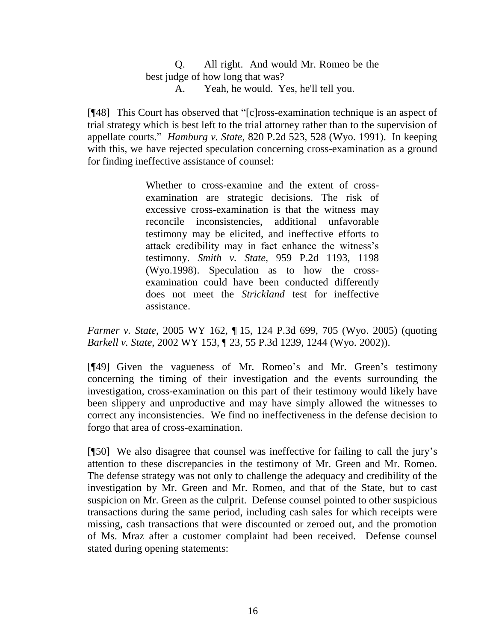### Q. All right. And would Mr. Romeo be the best judge of how long that was? A. Yeah, he would. Yes, he'll tell you.

[¶48] This Court has observed that "[c]ross-examination technique is an aspect of trial strategy which is best left to the trial attorney rather than to the supervision of appellate courts." *Hamburg v. State*, 820 P.2d 523, 528 (Wyo. 1991). In keeping with this, we have rejected speculation concerning cross-examination as a ground for finding ineffective assistance of counsel:

> Whether to cross-examine and the extent of crossexamination are strategic decisions. The risk of excessive cross-examination is that the witness may reconcile inconsistencies, additional unfavorable testimony may be elicited, and ineffective efforts to attack credibility may in fact enhance the witness's testimony. *Smith v. State*[, 959 P.2d 1193, 1198](http://www.westlaw.com/Link/Document/FullText?findType=Y&serNum=1998126494&pubNum=661&originatingDoc=Ib559105a723f11da97faf3f66e4b6844&refType=RP&fi=co_pp_sp_661_1198&originationContext=document&vr=3.0&rs=cblt1.0&transitionType=DocumentItem&contextData=(sc.Search)#co_pp_sp_661_1198)  [\(Wyo.1998\).](http://www.westlaw.com/Link/Document/FullText?findType=Y&serNum=1998126494&pubNum=661&originatingDoc=Ib559105a723f11da97faf3f66e4b6844&refType=RP&fi=co_pp_sp_661_1198&originationContext=document&vr=3.0&rs=cblt1.0&transitionType=DocumentItem&contextData=(sc.Search)#co_pp_sp_661_1198) Speculation as to how the crossexamination could have been conducted differently does not meet the *Strickland* test for ineffective assistance.

*Farmer v. State*, 2005 WY 162, ¶ 15, 124 P.3d 699, 705 (Wyo. 2005) (quoting *Barkell v. State*[, 2002 WY 153, ¶ 23, 55 P.3d 1239, 1244 \(Wyo.](http://www.westlaw.com/Link/Document/FullText?findType=Y&serNum=2002651943&pubNum=4645&originatingDoc=Ib559105a723f11da97faf3f66e4b6844&refType=RP&fi=co_pp_sp_4645_1244&originationContext=document&vr=3.0&rs=cblt1.0&transitionType=DocumentItem&contextData=(sc.Search)#co_pp_sp_4645_1244) 2002)).

[¶49] Given the vagueness of Mr. Romeo's and Mr. Green's testimony concerning the timing of their investigation and the events surrounding the investigation, cross-examination on this part of their testimony would likely have been slippery and unproductive and may have simply allowed the witnesses to correct any inconsistencies. We find no ineffectiveness in the defense decision to forgo that area of cross-examination.

[¶50] We also disagree that counsel was ineffective for failing to call the jury's attention to these discrepancies in the testimony of Mr. Green and Mr. Romeo. The defense strategy was not only to challenge the adequacy and credibility of the investigation by Mr. Green and Mr. Romeo, and that of the State, but to cast suspicion on Mr. Green as the culprit. Defense counsel pointed to other suspicious transactions during the same period, including cash sales for which receipts were missing, cash transactions that were discounted or zeroed out, and the promotion of Ms. Mraz after a customer complaint had been received. Defense counsel stated during opening statements: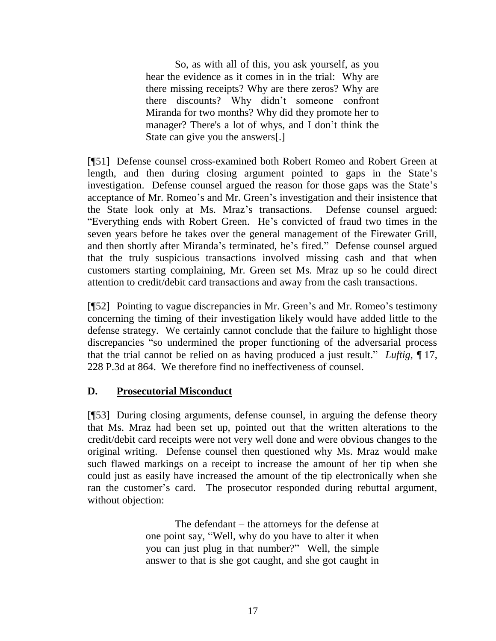So, as with all of this, you ask yourself, as you hear the evidence as it comes in in the trial: Why are there missing receipts? Why are there zeros? Why are there discounts? Why didn't someone confront Miranda for two months? Why did they promote her to manager? There's a lot of whys, and I don't think the State can give you the answers[.]

[¶51] Defense counsel cross-examined both Robert Romeo and Robert Green at length, and then during closing argument pointed to gaps in the State's investigation. Defense counsel argued the reason for those gaps was the State's acceptance of Mr. Romeo's and Mr. Green's investigation and their insistence that the State look only at Ms. Mraz's transactions. Defense counsel argued: "Everything ends with Robert Green. He's convicted of fraud two times in the seven years before he takes over the general management of the Firewater Grill, and then shortly after Miranda's terminated, he's fired." Defense counsel argued that the truly suspicious transactions involved missing cash and that when customers starting complaining, Mr. Green set Ms. Mraz up so he could direct attention to credit/debit card transactions and away from the cash transactions.

[¶52] Pointing to vague discrepancies in Mr. Green's and Mr. Romeo's testimony concerning the timing of their investigation likely would have added little to the defense strategy. We certainly cannot conclude that the failure to highlight those discrepancies "so undermined the proper functioning of the adversarial process that the trial cannot be relied on as having produced a just result." *Luftig*, ¶ 17, 228 P.3d at 864. We therefore find no ineffectiveness of counsel.

### **D. Prosecutorial Misconduct**

[¶53] During closing arguments, defense counsel, in arguing the defense theory that Ms. Mraz had been set up, pointed out that the written alterations to the credit/debit card receipts were not very well done and were obvious changes to the original writing. Defense counsel then questioned why Ms. Mraz would make such flawed markings on a receipt to increase the amount of her tip when she could just as easily have increased the amount of the tip electronically when she ran the customer's card. The prosecutor responded during rebuttal argument, without objection:

> The defendant – the attorneys for the defense at one point say, "Well, why do you have to alter it when you can just plug in that number?" Well, the simple answer to that is she got caught, and she got caught in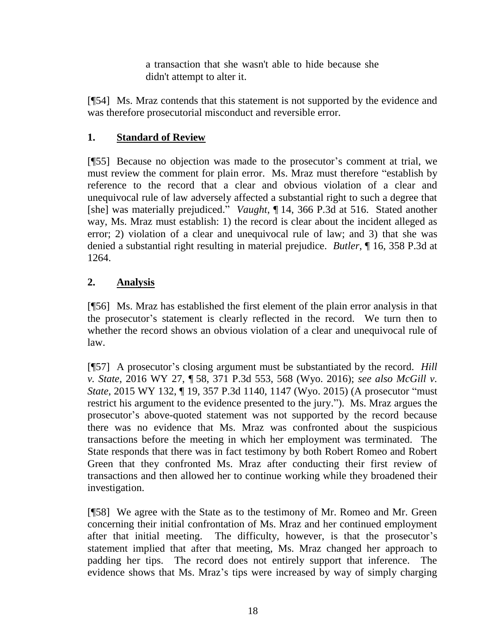a transaction that she wasn't able to hide because she didn't attempt to alter it.

[¶54] Ms. Mraz contends that this statement is not supported by the evidence and was therefore prosecutorial misconduct and reversible error.

# **1. Standard of Review**

[¶55] Because no objection was made to the prosecutor's comment at trial, we must review the comment for plain error. Ms. Mraz must therefore "establish by reference to the record that a clear and obvious violation of a clear and unequivocal rule of law adversely affected a substantial right to such a degree that [she] was materially prejudiced." *Vaught*, ¶ 14, 366 P.3d at 516. Stated another way, Ms. Mraz must establish: 1) the record is clear about the incident alleged as error; 2) violation of a clear and unequivocal rule of law; and 3) that she was denied a substantial right resulting in material prejudice. *Butler*, ¶ 16, 358 P.3d at 1264.

# **2. Analysis**

[¶56] Ms. Mraz has established the first element of the plain error analysis in that the prosecutor's statement is clearly reflected in the record. We turn then to whether the record shows an obvious violation of a clear and unequivocal rule of law.

[¶57] A prosecutor's closing argument must be substantiated by the record. *Hill v. State*, 2016 WY 27, ¶ 58, 371 P.3d 553, 568 (Wyo. 2016); *see also McGill v. State*, 2015 WY 132, ¶ 19, 357 P.3d 1140, 1147 (Wyo. 2015) (A prosecutor "must restrict his argument to the evidence presented to the jury."). Ms. Mraz argues the prosecutor's above-quoted statement was not supported by the record because there was no evidence that Ms. Mraz was confronted about the suspicious transactions before the meeting in which her employment was terminated. The State responds that there was in fact testimony by both Robert Romeo and Robert Green that they confronted Ms. Mraz after conducting their first review of transactions and then allowed her to continue working while they broadened their investigation.

[¶58] We agree with the State as to the testimony of Mr. Romeo and Mr. Green concerning their initial confrontation of Ms. Mraz and her continued employment after that initial meeting. The difficulty, however, is that the prosecutor's statement implied that after that meeting, Ms. Mraz changed her approach to padding her tips. The record does not entirely support that inference. The evidence shows that Ms. Mraz's tips were increased by way of simply charging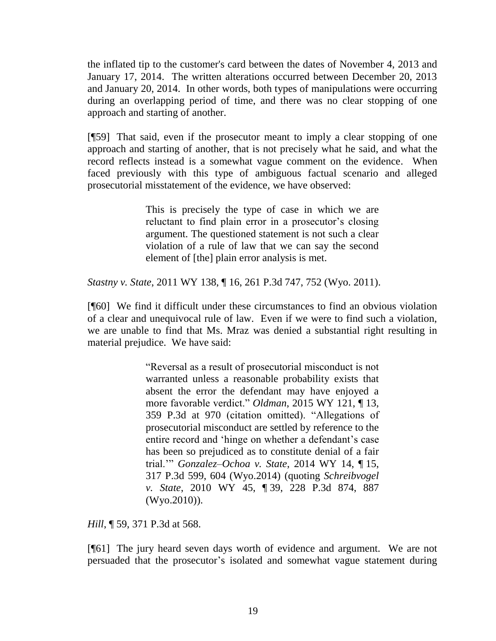the inflated tip to the customer's card between the dates of November 4, 2013 and January 17, 2014. The written alterations occurred between December 20, 2013 and January 20, 2014. In other words, both types of manipulations were occurring during an overlapping period of time, and there was no clear stopping of one approach and starting of another.

[¶59] That said, even if the prosecutor meant to imply a clear stopping of one approach and starting of another, that is not precisely what he said, and what the record reflects instead is a somewhat vague comment on the evidence. When faced previously with this type of ambiguous factual scenario and alleged prosecutorial misstatement of the evidence, we have observed:

> This is precisely the type of case in which we are reluctant to find plain error in a prosecutor's closing argument. The questioned statement is not such a clear violation of a rule of law that we can say the second element of [the] plain error analysis is met.

*Stastny v. State*, 2011 WY 138, ¶ 16, 261 P.3d 747, 752 (Wyo. 2011).

[¶60] We find it difficult under these circumstances to find an obvious violation of a clear and unequivocal rule of law. Even if we were to find such a violation, we are unable to find that Ms. Mraz was denied a substantial right resulting in material prejudice. We have said:

> "Reversal as a result of prosecutorial misconduct is not warranted unless a reasonable probability exists that absent the error the defendant may have enjoyed a more favorable verdict." *Oldman*[, 2015 WY 121, ¶](http://www.westlaw.com/Link/Document/FullText?findType=Y&serNum=2037169382&pubNum=0004645&originatingDoc=If88589b6e11211e590d4edf60ce7d742&refType=RP&fi=co_pp_sp_4645_970&originationContext=document&vr=3.0&rs=cblt1.0&transitionType=DocumentItem&contextData=(sc.Search)#co_pp_sp_4645_970) 13, [359 P.3d at 970](http://www.westlaw.com/Link/Document/FullText?findType=Y&serNum=2037169382&pubNum=0004645&originatingDoc=If88589b6e11211e590d4edf60ce7d742&refType=RP&fi=co_pp_sp_4645_970&originationContext=document&vr=3.0&rs=cblt1.0&transitionType=DocumentItem&contextData=(sc.Search)#co_pp_sp_4645_970) (citation omitted). "Allegations of prosecutorial misconduct are settled by reference to the entire record and 'hinge on whether a defendant's case has been so prejudiced as to constitute denial of a fair trial.'" *[Gonzalez–Ochoa v. State](http://www.westlaw.com/Link/Document/FullText?findType=Y&serNum=2032606378&pubNum=0004645&originatingDoc=If88589b6e11211e590d4edf60ce7d742&refType=RP&fi=co_pp_sp_4645_604&originationContext=document&vr=3.0&rs=cblt1.0&transitionType=DocumentItem&contextData=(sc.Search)#co_pp_sp_4645_604)*, 2014 WY 14, ¶ 15, [317 P.3d 599, 604 \(Wyo.2014\)](http://www.westlaw.com/Link/Document/FullText?findType=Y&serNum=2032606378&pubNum=0004645&originatingDoc=If88589b6e11211e590d4edf60ce7d742&refType=RP&fi=co_pp_sp_4645_604&originationContext=document&vr=3.0&rs=cblt1.0&transitionType=DocumentItem&contextData=(sc.Search)#co_pp_sp_4645_604) (quoting *[Schreibvogel](http://www.westlaw.com/Link/Document/FullText?findType=Y&serNum=2021772801&pubNum=0004645&originatingDoc=If88589b6e11211e590d4edf60ce7d742&refType=RP&fi=co_pp_sp_4645_887&originationContext=document&vr=3.0&rs=cblt1.0&transitionType=DocumentItem&contextData=(sc.Search)#co_pp_sp_4645_887)  v. State*, 2010 WY 45, ¶ [39, 228 P.3d 874, 887](http://www.westlaw.com/Link/Document/FullText?findType=Y&serNum=2021772801&pubNum=0004645&originatingDoc=If88589b6e11211e590d4edf60ce7d742&refType=RP&fi=co_pp_sp_4645_887&originationContext=document&vr=3.0&rs=cblt1.0&transitionType=DocumentItem&contextData=(sc.Search)#co_pp_sp_4645_887)  [\(Wyo.2010\)\)](http://www.westlaw.com/Link/Document/FullText?findType=Y&serNum=2021772801&pubNum=0004645&originatingDoc=If88589b6e11211e590d4edf60ce7d742&refType=RP&fi=co_pp_sp_4645_887&originationContext=document&vr=3.0&rs=cblt1.0&transitionType=DocumentItem&contextData=(sc.Search)#co_pp_sp_4645_887).

*Hill*, ¶ 59, 371 P.3d at 568.

[¶61] The jury heard seven days worth of evidence and argument. We are not persuaded that the prosecutor's isolated and somewhat vague statement during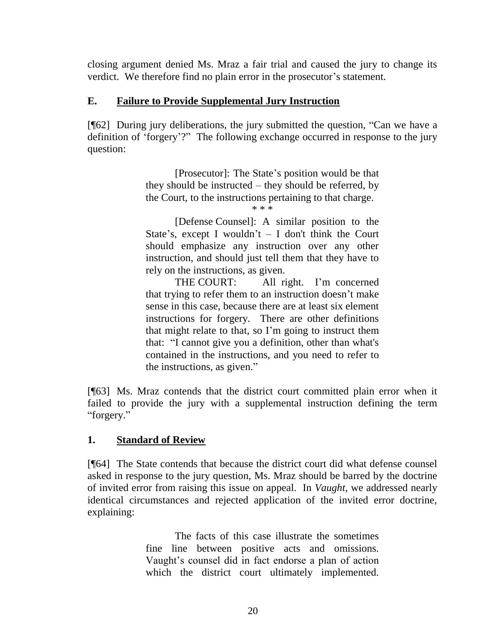closing argument denied Ms. Mraz a fair trial and caused the jury to change its verdict. We therefore find no plain error in the prosecutor's statement.

### **E. Failure to Provide Supplemental Jury Instruction**

[¶62] During jury deliberations, the jury submitted the question, "Can we have a definition of 'forgery'?" The following exchange occurred in response to the jury question:

> [Prosecutor]: The State's position would be that they should be instructed – they should be referred, by the Court, to the instructions pertaining to that charge.

\* \* \*

[Defense Counsel]: A similar position to the State's, except I wouldn't  $-$  I don't think the Court should emphasize any instruction over any other instruction, and should just tell them that they have to rely on the instructions, as given.

THE COURT: All right. I'm concerned that trying to refer them to an instruction doesn't make sense in this case, because there are at least six element instructions for forgery. There are other definitions that might relate to that, so I'm going to instruct them that: "I cannot give you a definition, other than what's contained in the instructions, and you need to refer to the instructions, as given."

[¶63] Ms. Mraz contends that the district court committed plain error when it failed to provide the jury with a supplemental instruction defining the term "forgery."

# **1. Standard of Review**

[¶64] The State contends that because the district court did what defense counsel asked in response to the jury question, Ms. Mraz should be barred by the doctrine of invited error from raising this issue on appeal. In *Vaught*, we addressed nearly identical circumstances and rejected application of the invited error doctrine, explaining:

> The facts of this case illustrate the sometimes fine line between positive acts and omissions. Vaught's counsel did in fact endorse a plan of action which the district court ultimately implemented.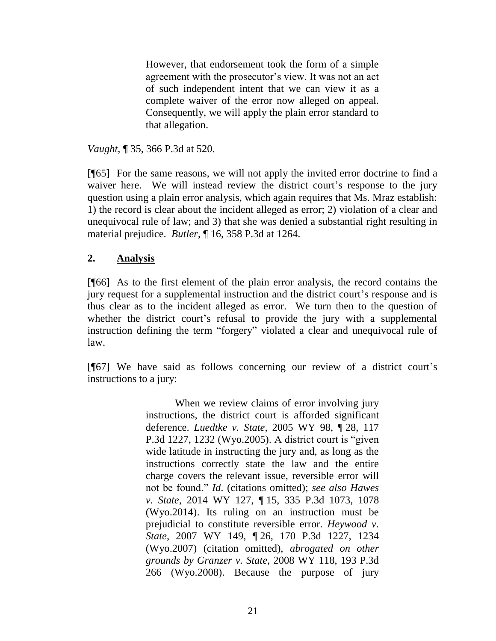However, that endorsement took the form of a simple agreement with the prosecutor's view. It was not an act of such independent intent that we can view it as a complete waiver of the error now alleged on appeal. Consequently, we will apply the plain error standard to that allegation.

*Vaught*, ¶ 35, 366 P.3d at 520.

[¶65] For the same reasons, we will not apply the invited error doctrine to find a waiver here. We will instead review the district court's response to the jury question using a plain error analysis, which again requires that Ms. Mraz establish: 1) the record is clear about the incident alleged as error; 2) violation of a clear and unequivocal rule of law; and 3) that she was denied a substantial right resulting in material prejudice. *Butler*, ¶ 16, 358 P.3d at 1264.

### **2. Analysis**

[¶66] As to the first element of the plain error analysis, the record contains the jury request for a supplemental instruction and the district court's response and is thus clear as to the incident alleged as error. We turn then to the question of whether the district court's refusal to provide the jury with a supplemental instruction defining the term "forgery" violated a clear and unequivocal rule of law.

[¶67] We have said as follows concerning our review of a district court's instructions to a jury:

> When we review claims of error involving jury instructions, the district court is afforded significant deference. *Luedtke v. State*[, 2005 WY 98, ¶](http://www.westlaw.com/Link/Document/FullText?findType=Y&serNum=2007169904&pubNum=0004645&originatingDoc=Id9b12c5596f811e4b4bafa136b480ad2&refType=RP&fi=co_pp_sp_4645_1232&originationContext=document&vr=3.0&rs=cblt1.0&transitionType=DocumentItem&contextData=(sc.UserEnteredCitation)#co_pp_sp_4645_1232) 28, 117 [P.3d 1227, 1232 \(Wyo.2005\).](http://www.westlaw.com/Link/Document/FullText?findType=Y&serNum=2007169904&pubNum=0004645&originatingDoc=Id9b12c5596f811e4b4bafa136b480ad2&refType=RP&fi=co_pp_sp_4645_1232&originationContext=document&vr=3.0&rs=cblt1.0&transitionType=DocumentItem&contextData=(sc.UserEnteredCitation)#co_pp_sp_4645_1232) A district court is "given wide latitude in instructing the jury and, as long as the instructions correctly state the law and the entire charge covers the relevant issue, reversible error will not be found." *Id*. (citations omitted); *see also [Hawes](http://www.westlaw.com/Link/Document/FullText?findType=Y&serNum=2034605720&pubNum=0004645&originatingDoc=Id9b12c5596f811e4b4bafa136b480ad2&refType=RP&fi=co_pp_sp_4645_1078&originationContext=document&vr=3.0&rs=cblt1.0&transitionType=DocumentItem&contextData=(sc.UserEnteredCitation)#co_pp_sp_4645_1078)  v. State*[, 2014 WY 127, ¶](http://www.westlaw.com/Link/Document/FullText?findType=Y&serNum=2034605720&pubNum=0004645&originatingDoc=Id9b12c5596f811e4b4bafa136b480ad2&refType=RP&fi=co_pp_sp_4645_1078&originationContext=document&vr=3.0&rs=cblt1.0&transitionType=DocumentItem&contextData=(sc.UserEnteredCitation)#co_pp_sp_4645_1078) 15, 335 P.3d 1073, 1078 [\(Wyo.2014\).](http://www.westlaw.com/Link/Document/FullText?findType=Y&serNum=2034605720&pubNum=0004645&originatingDoc=Id9b12c5596f811e4b4bafa136b480ad2&refType=RP&fi=co_pp_sp_4645_1078&originationContext=document&vr=3.0&rs=cblt1.0&transitionType=DocumentItem&contextData=(sc.UserEnteredCitation)#co_pp_sp_4645_1078) Its ruling on an instruction must be prejudicial to constitute reversible error. *[Heywood v.](http://www.westlaw.com/Link/Document/FullText?findType=Y&serNum=2013208970&pubNum=0004645&originatingDoc=Id9b12c5596f811e4b4bafa136b480ad2&refType=RP&fi=co_pp_sp_4645_1234&originationContext=document&vr=3.0&rs=cblt1.0&transitionType=DocumentItem&contextData=(sc.UserEnteredCitation)#co_pp_sp_4645_1234)  State*, 2007 WY 149, ¶ [26, 170 P.3d 1227, 1234](http://www.westlaw.com/Link/Document/FullText?findType=Y&serNum=2013208970&pubNum=0004645&originatingDoc=Id9b12c5596f811e4b4bafa136b480ad2&refType=RP&fi=co_pp_sp_4645_1234&originationContext=document&vr=3.0&rs=cblt1.0&transitionType=DocumentItem&contextData=(sc.UserEnteredCitation)#co_pp_sp_4645_1234)  [\(Wyo.2007\)](http://www.westlaw.com/Link/Document/FullText?findType=Y&serNum=2013208970&pubNum=0004645&originatingDoc=Id9b12c5596f811e4b4bafa136b480ad2&refType=RP&fi=co_pp_sp_4645_1234&originationContext=document&vr=3.0&rs=cblt1.0&transitionType=DocumentItem&contextData=(sc.UserEnteredCitation)#co_pp_sp_4645_1234) (citation omitted), *abrogated on other grounds by Granzer v. State*[, 2008 WY 118, 193 P.3d](http://www.westlaw.com/Link/Document/FullText?findType=Y&serNum=2017221814&pubNum=0004645&originatingDoc=Id9b12c5596f811e4b4bafa136b480ad2&refType=RP&originationContext=document&vr=3.0&rs=cblt1.0&transitionType=DocumentItem&contextData=(sc.UserEnteredCitation))  [266 \(Wyo.2008\).](http://www.westlaw.com/Link/Document/FullText?findType=Y&serNum=2017221814&pubNum=0004645&originatingDoc=Id9b12c5596f811e4b4bafa136b480ad2&refType=RP&originationContext=document&vr=3.0&rs=cblt1.0&transitionType=DocumentItem&contextData=(sc.UserEnteredCitation)) Because the purpose of jury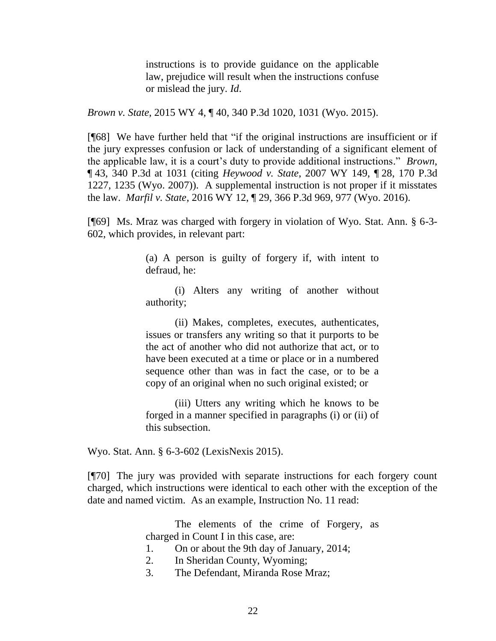instructions is to provide guidance on the applicable law, prejudice will result when the instructions confuse or mislead the jury. *Id*.

*Brown v. State*, 2015 WY 4, ¶ 40, 340 P.3d 1020, 1031 (Wyo. 2015).

[¶68] We have further held that "if the original instructions are insufficient or if the jury expresses confusion or lack of understanding of a significant element of the applicable law, it is a court's duty to provide additional instructions." *Brown*, ¶ 43, 340 P.3d at 1031 (citing *Heywood v. State*[, 2007 WY 149, ¶](http://www.westlaw.com/Link/Document/FullText?findType=Y&serNum=2013208970&pubNum=0004645&originatingDoc=Id9b12c5596f811e4b4bafa136b480ad2&refType=RP&fi=co_pp_sp_4645_1234&originationContext=document&vr=3.0&rs=cblt1.0&transitionType=DocumentItem&contextData=(sc.UserEnteredCitation)#co_pp_sp_4645_1234) 28, 170 P.3d [1227, 1235](http://www.westlaw.com/Link/Document/FullText?findType=Y&serNum=2013208970&pubNum=0004645&originatingDoc=Id9b12c5596f811e4b4bafa136b480ad2&refType=RP&fi=co_pp_sp_4645_1234&originationContext=document&vr=3.0&rs=cblt1.0&transitionType=DocumentItem&contextData=(sc.UserEnteredCitation)#co_pp_sp_4645_1234) (Wyo. 2007)). A supplemental instruction is not proper if it misstates the law. *Marfil v. State*, 2016 WY 12, ¶ 29, 366 P.3d 969, 977 (Wyo. 2016).

[¶69] Ms. Mraz was charged with forgery in violation of Wyo. Stat. Ann. § 6-3- 602, which provides, in relevant part:

> (a) A person is guilty of forgery if, with intent to defraud, he:

> (i) Alters any writing of another without authority;

> (ii) Makes, completes, executes, authenticates, issues or transfers any writing so that it purports to be the act of another who did not authorize that act, or to have been executed at a time or place or in a numbered sequence other than was in fact the case, or to be a copy of an original when no such original existed; or

> (iii) Utters any writing which he knows to be forged in a manner specified in paragraphs (i) or (ii) of this subsection.

Wyo. Stat. Ann. § 6-3-602 (LexisNexis 2015).

[¶70] The jury was provided with separate instructions for each forgery count charged, which instructions were identical to each other with the exception of the date and named victim. As an example, Instruction No. 11 read:

> The elements of the crime of Forgery, as charged in Count I in this case, are:

- 1. On or about the 9th day of January, 2014;
- 2. In Sheridan County, Wyoming;
- 3. The Defendant, Miranda Rose Mraz;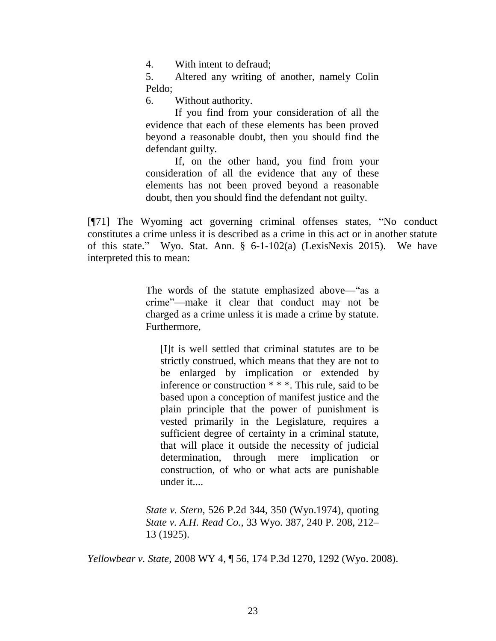4. With intent to defraud;

5. Altered any writing of another, namely Colin Peldo;

6. Without authority.

If you find from your consideration of all the evidence that each of these elements has been proved beyond a reasonable doubt, then you should find the defendant guilty.

If, on the other hand, you find from your consideration of all the evidence that any of these elements has not been proved beyond a reasonable doubt, then you should find the defendant not guilty.

[¶71] The Wyoming act governing criminal offenses states, "No conduct constitutes a crime unless it is described as a crime in this act or in another statute of this state." Wyo. Stat. Ann. § 6-1-102(a) (LexisNexis 2015). We have interpreted this to mean:

> The words of the statute emphasized above—"as a crime"—make it clear that conduct may not be charged as a crime unless it is made a crime by statute. Furthermore,

[I]t is well settled that criminal statutes are to be strictly construed, which means that they are not to be enlarged by implication or extended by inference or construction \* \* \*. This rule, said to be based upon a conception of manifest justice and the plain principle that the power of punishment is vested primarily in the Legislature, requires a sufficient degree of certainty in a criminal statute, that will place it outside the necessity of judicial determination, through mere implication or construction, of who or what acts are punishable under it....

*State v. Stern*[, 526 P.2d 344, 350 \(Wyo.1974\),](http://www.westlaw.com/Link/Document/FullText?findType=Y&serNum=1974125556&pubNum=0000661&originatingDoc=I0a14cb53c2e011dcb6a3a099756c05b7&refType=RP&fi=co_pp_sp_661_350&originationContext=document&vr=3.0&rs=cblt1.0&transitionType=DocumentItem&contextData=(sc.UserEnteredCitation)#co_pp_sp_661_350) quoting *State v. A.H. Read Co.*[, 33 Wyo. 387, 240 P. 208, 212–](http://www.westlaw.com/Link/Document/FullText?findType=Y&serNum=1925102283&pubNum=0000660&originatingDoc=I0a14cb53c2e011dcb6a3a099756c05b7&refType=RP&fi=co_pp_sp_660_212&originationContext=document&vr=3.0&rs=cblt1.0&transitionType=DocumentItem&contextData=(sc.UserEnteredCitation)#co_pp_sp_660_212) [13 \(1925\).](http://www.westlaw.com/Link/Document/FullText?findType=Y&serNum=1925102283&pubNum=0000660&originatingDoc=I0a14cb53c2e011dcb6a3a099756c05b7&refType=RP&fi=co_pp_sp_660_212&originationContext=document&vr=3.0&rs=cblt1.0&transitionType=DocumentItem&contextData=(sc.UserEnteredCitation)#co_pp_sp_660_212)

*Yellowbear v. State*, 2008 WY 4, ¶ 56, 174 P.3d 1270, 1292 (Wyo. 2008).